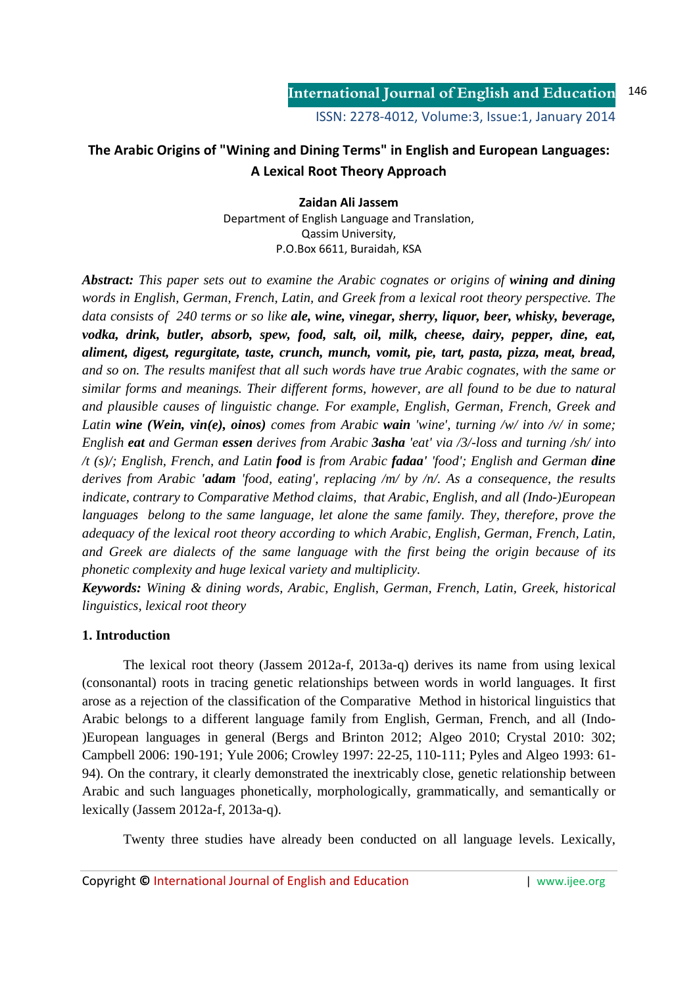# **The Arabic Origins of "Wining and Dining Terms" in English and European Languages: A Lexical Root Theory Approach**

**Zaidan Ali Jassem**  Department of English Language and Translation, Qassim University, P.O.Box 6611, Buraidah, KSA

*Abstract: This paper sets out to examine the Arabic cognates or origins of wining and dining words in English, German, French, Latin, and Greek from a lexical root theory perspective. The data consists of 240 terms or so like ale, wine, vinegar, sherry, liquor, beer, whisky, beverage, vodka, drink, butler, absorb, spew, food, salt, oil, milk, cheese, dairy, pepper, dine, eat, aliment, digest, regurgitate, taste, crunch, munch, vomit, pie, tart, pasta, pizza, meat, bread, and so on. The results manifest that all such words have true Arabic cognates, with the same or similar forms and meanings. Their different forms, however, are all found to be due to natural and plausible causes of linguistic change. For example, English, German, French, Greek and Latin wine (Wein, vin(e), oinos) comes from Arabic wain 'wine', turning /w/ into /v/ in some; English eat and German essen derives from Arabic 3asha 'eat' via /3/-loss and turning /sh/ into /t (s)/; English, French, and Latin food is from Arabic fadaa' 'food'; English and German dine derives from Arabic 'adam 'food, eating', replacing /m/ by /n/. As a consequence, the results indicate, contrary to Comparative Method claims, that Arabic, English, and all (Indo-)European languages belong to the same language, let alone the same family. They, therefore, prove the adequacy of the lexical root theory according to which Arabic, English, German, French, Latin, and Greek are dialects of the same language with the first being the origin because of its phonetic complexity and huge lexical variety and multiplicity.*

*Keywords: Wining & dining words, Arabic, English, German, French, Latin, Greek, historical linguistics, lexical root theory*

# **1. Introduction**

The lexical root theory (Jassem 2012a-f, 2013a-q) derives its name from using lexical (consonantal) roots in tracing genetic relationships between words in world languages. It first arose as a rejection of the classification of the Comparative Method in historical linguistics that Arabic belongs to a different language family from English, German, French, and all (Indo- )European languages in general (Bergs and Brinton 2012; Algeo 2010; Crystal 2010: 302; Campbell 2006: 190-191; Yule 2006; Crowley 1997: 22-25, 110-111; Pyles and Algeo 1993: 61- 94). On the contrary, it clearly demonstrated the inextricably close, genetic relationship between Arabic and such languages phonetically, morphologically, grammatically, and semantically or lexically (Jassem 2012a-f, 2013a-q).

Twenty three studies have already been conducted on all language levels. Lexically,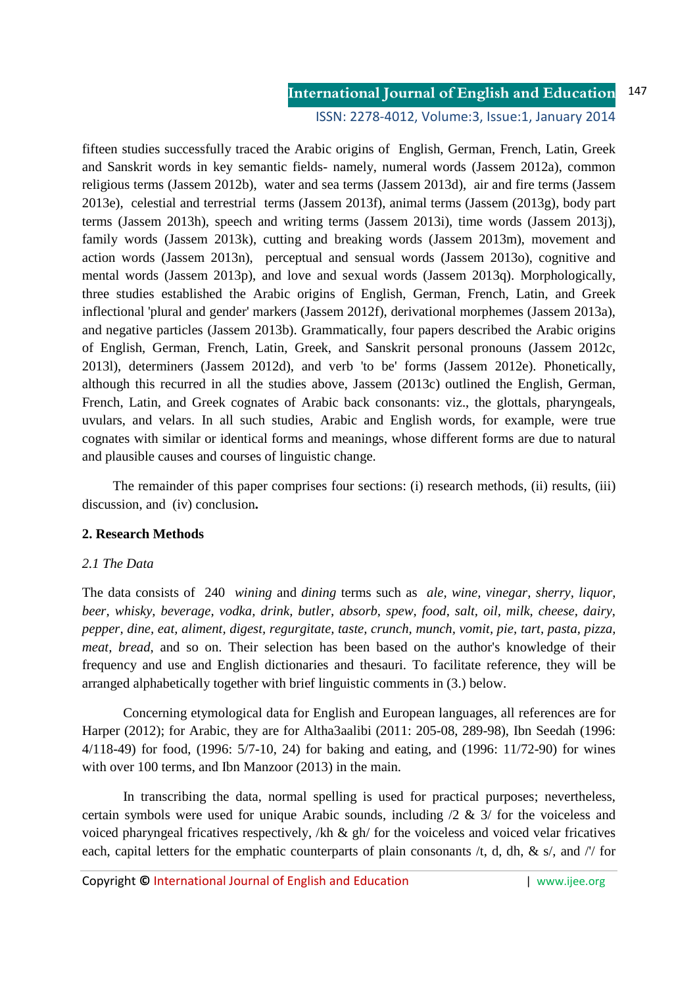#### **International Journal of English and Education** 147

ISSN: 2278-4012, Volume:3, Issue:1, January 2014

fifteen studies successfully traced the Arabic origins of English, German, French, Latin, Greek and Sanskrit words in key semantic fields- namely, numeral words (Jassem 2012a), common religious terms (Jassem 2012b), water and sea terms (Jassem 2013d), air and fire terms (Jassem 2013e), celestial and terrestrial terms (Jassem 2013f), animal terms (Jassem (2013g), body part terms (Jassem 2013h), speech and writing terms (Jassem 2013i), time words (Jassem 2013j), family words (Jassem 2013k), cutting and breaking words (Jassem 2013m), movement and action words (Jassem 2013n), perceptual and sensual words (Jassem 2013o), cognitive and mental words (Jassem 2013p), and love and sexual words (Jassem 2013q). Morphologically, three studies established the Arabic origins of English, German, French, Latin, and Greek inflectional 'plural and gender' markers (Jassem 2012f), derivational morphemes (Jassem 2013a), and negative particles (Jassem 2013b). Grammatically, four papers described the Arabic origins of English, German, French, Latin, Greek, and Sanskrit personal pronouns (Jassem 2012c, 2013l), determiners (Jassem 2012d), and verb 'to be' forms (Jassem 2012e). Phonetically, although this recurred in all the studies above, Jassem (2013c) outlined the English, German, French, Latin, and Greek cognates of Arabic back consonants: viz., the glottals, pharyngeals, uvulars, and velars. In all such studies, Arabic and English words, for example, were true cognates with similar or identical forms and meanings, whose different forms are due to natural and plausible causes and courses of linguistic change.

The remainder of this paper comprises four sections: (i) research methods, (ii) results, (iii) discussion, and (iv) conclusion**.**

## **2. Research Methods**

## *2.1 The Data*

The data consists of 240 *wining* and *dining* terms such as *ale, wine, vinegar, sherry, liquor, beer, whisky, beverage, vodka, drink, butler, absorb, spew, food, salt, oil, milk, cheese, dairy, pepper, dine, eat, aliment, digest, regurgitate, taste, crunch, munch, vomit, pie, tart, pasta, pizza, meat, bread*, and so on. Their selection has been based on the author's knowledge of their frequency and use and English dictionaries and thesauri. To facilitate reference, they will be arranged alphabetically together with brief linguistic comments in (3.) below.

Concerning etymological data for English and European languages, all references are for Harper (2012); for Arabic, they are for Altha3aalibi (2011: 205-08, 289-98), Ibn Seedah (1996: 4/118-49) for food, (1996: 5/7-10, 24) for baking and eating, and (1996: 11/72-90) for wines with over 100 terms, and Ibn Manzoor (2013) in the main.

In transcribing the data, normal spelling is used for practical purposes; nevertheless, certain symbols were used for unique Arabic sounds, including  $/2 \& 3/$  for the voiceless and voiced pharyngeal fricatives respectively, /kh & gh/ for the voiceless and voiced velar fricatives each, capital letters for the emphatic counterparts of plain consonants  $/t$ , d, dh, & s/, and  $\frac{1}{t}$  for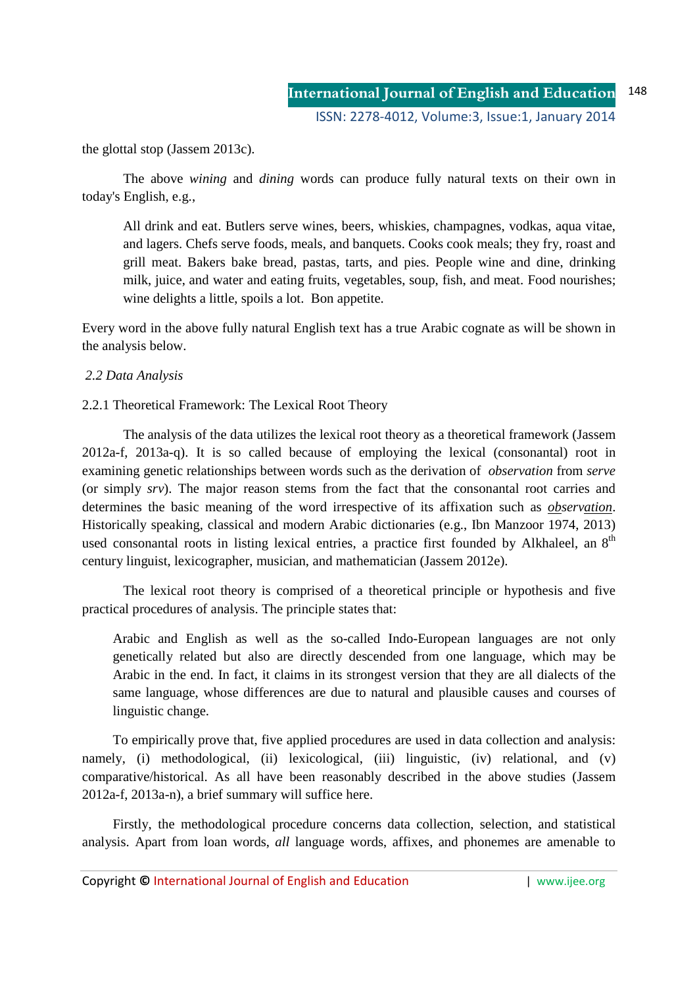the glottal stop (Jassem 2013c).

The above *wining* and *dining* words can produce fully natural texts on their own in today's English, e.g.,

All drink and eat. Butlers serve wines, beers, whiskies, champagnes, vodkas, aqua vitae, and lagers. Chefs serve foods, meals, and banquets. Cooks cook meals; they fry, roast and grill meat. Bakers bake bread, pastas, tarts, and pies. People wine and dine, drinking milk, juice, and water and eating fruits, vegetables, soup, fish, and meat. Food nourishes; wine delights a little, spoils a lot. Bon appetite.

Every word in the above fully natural English text has a true Arabic cognate as will be shown in the analysis below.

# *2.2 Data Analysis*

# 2.2.1 Theoretical Framework: The Lexical Root Theory

 The analysis of the data utilizes the lexical root theory as a theoretical framework (Jassem 2012a-f, 2013a-q). It is so called because of employing the lexical (consonantal) root in examining genetic relationships between words such as the derivation of *observation* from *serve*  (or simply *srv*). The major reason stems from the fact that the consonantal root carries and determines the basic meaning of the word irrespective of its affixation such as *observation*. Historically speaking, classical and modern Arabic dictionaries (e.g., Ibn Manzoor 1974, 2013) used consonantal roots in listing lexical entries, a practice first founded by Alkhaleel, an  $8<sup>th</sup>$ century linguist, lexicographer, musician, and mathematician (Jassem 2012e).

The lexical root theory is comprised of a theoretical principle or hypothesis and five practical procedures of analysis. The principle states that:

Arabic and English as well as the so-called Indo-European languages are not only genetically related but also are directly descended from one language, which may be Arabic in the end. In fact, it claims in its strongest version that they are all dialects of the same language, whose differences are due to natural and plausible causes and courses of linguistic change.

To empirically prove that, five applied procedures are used in data collection and analysis: namely, (i) methodological, (ii) lexicological, (iii) linguistic, (iv) relational, and (v) comparative/historical. As all have been reasonably described in the above studies (Jassem 2012a-f, 2013a-n), a brief summary will suffice here.

Firstly, the methodological procedure concerns data collection, selection, and statistical analysis. Apart from loan words, *all* language words, affixes, and phonemes are amenable to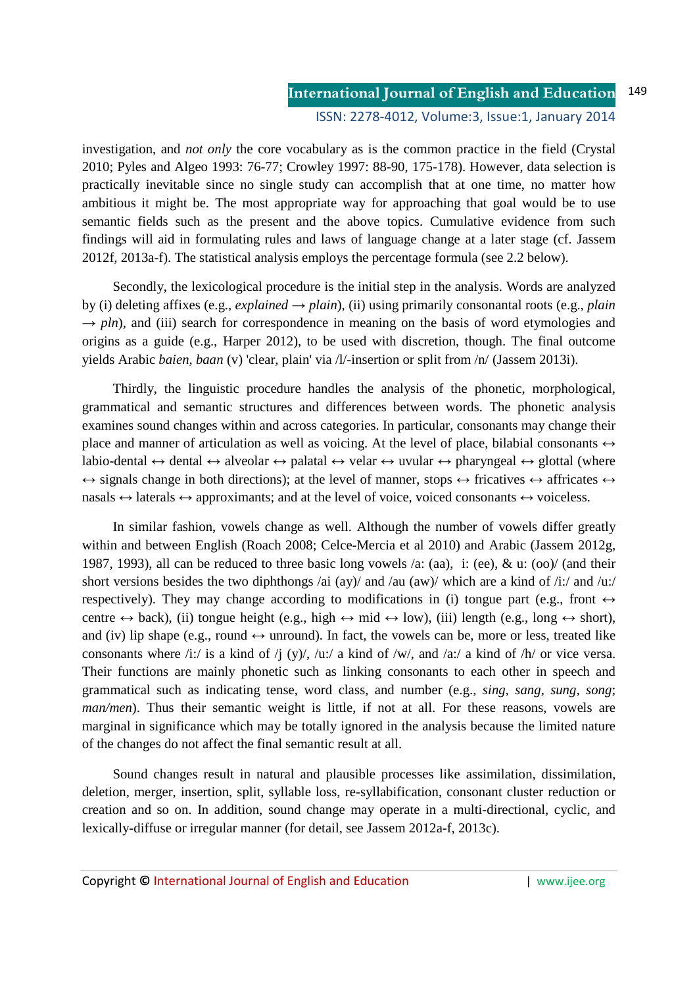#### **International Journal of English and Education** ISSN: 2278-4012, Volume:3, Issue:1, January 2014 149

investigation, and *not only* the core vocabulary as is the common practice in the field (Crystal 2010; Pyles and Algeo 1993: 76-77; Crowley 1997: 88-90, 175-178). However, data selection is practically inevitable since no single study can accomplish that at one time, no matter how ambitious it might be. The most appropriate way for approaching that goal would be to use semantic fields such as the present and the above topics. Cumulative evidence from such findings will aid in formulating rules and laws of language change at a later stage (cf. Jassem 2012f, 2013a-f). The statistical analysis employs the percentage formula (see 2.2 below).

Secondly, the lexicological procedure is the initial step in the analysis. Words are analyzed by (i) deleting affixes (e.g., *explained*  $\rightarrow$  *plain*), (ii) using primarily consonantal roots (e.g., *plain*)  $\rightarrow$  *pln*), and (iii) search for correspondence in meaning on the basis of word etymologies and origins as a guide (e.g., Harper 2012), to be used with discretion, though. The final outcome yields Arabic *baien, baan* (v) 'clear, plain' via /l/-insertion or split from /n/ (Jassem 2013i).

Thirdly, the linguistic procedure handles the analysis of the phonetic, morphological, grammatical and semantic structures and differences between words. The phonetic analysis examines sound changes within and across categories. In particular, consonants may change their place and manner of articulation as well as voicing. At the level of place, bilabial consonants  $\leftrightarrow$ labio-dental  $\leftrightarrow$  dental  $\leftrightarrow$  alveolar  $\leftrightarrow$  palatal  $\leftrightarrow$  velar  $\leftrightarrow$  uvular  $\leftrightarrow$  pharyngeal  $\leftrightarrow$  glottal (where  $\leftrightarrow$  signals change in both directions); at the level of manner, stops  $\leftrightarrow$  fricatives  $\leftrightarrow$  affricates  $\leftrightarrow$ nasals  $\leftrightarrow$  laterals  $\leftrightarrow$  approximants; and at the level of voice, voiced consonants  $\leftrightarrow$  voiceless.

In similar fashion, vowels change as well. Although the number of vowels differ greatly within and between English (Roach 2008; Celce-Mercia et al 2010) and Arabic (Jassem 2012g, 1987, 1993), all can be reduced to three basic long vowels /a: (aa), i: (ee), & u: (oo)/ (and their short versions besides the two diphthongs /ai (ay)/ and /au (aw)/ which are a kind of /i:/ and /u:/ respectively). They may change according to modifications in (i) tongue part (e.g., front  $\leftrightarrow$ centre  $\leftrightarrow$  back), (ii) tongue height (e.g., high  $\leftrightarrow$  mid  $\leftrightarrow$  low), (iii) length (e.g., long  $\leftrightarrow$  short), and (iv) lip shape (e.g., round  $\leftrightarrow$  unround). In fact, the vowels can be, more or less, treated like consonants where /i:/ is a kind of /j (y)/, /u:/ a kind of /w/, and /a:/ a kind of /h/ or vice versa. Their functions are mainly phonetic such as linking consonants to each other in speech and grammatical such as indicating tense, word class, and number (e.g., *sing, sang, sung, song*; *man/men*). Thus their semantic weight is little, if not at all. For these reasons, vowels are marginal in significance which may be totally ignored in the analysis because the limited nature of the changes do not affect the final semantic result at all.

Sound changes result in natural and plausible processes like assimilation, dissimilation, deletion, merger, insertion, split, syllable loss, re-syllabification, consonant cluster reduction or creation and so on. In addition, sound change may operate in a multi-directional, cyclic, and lexically-diffuse or irregular manner (for detail, see Jassem 2012a-f, 2013c).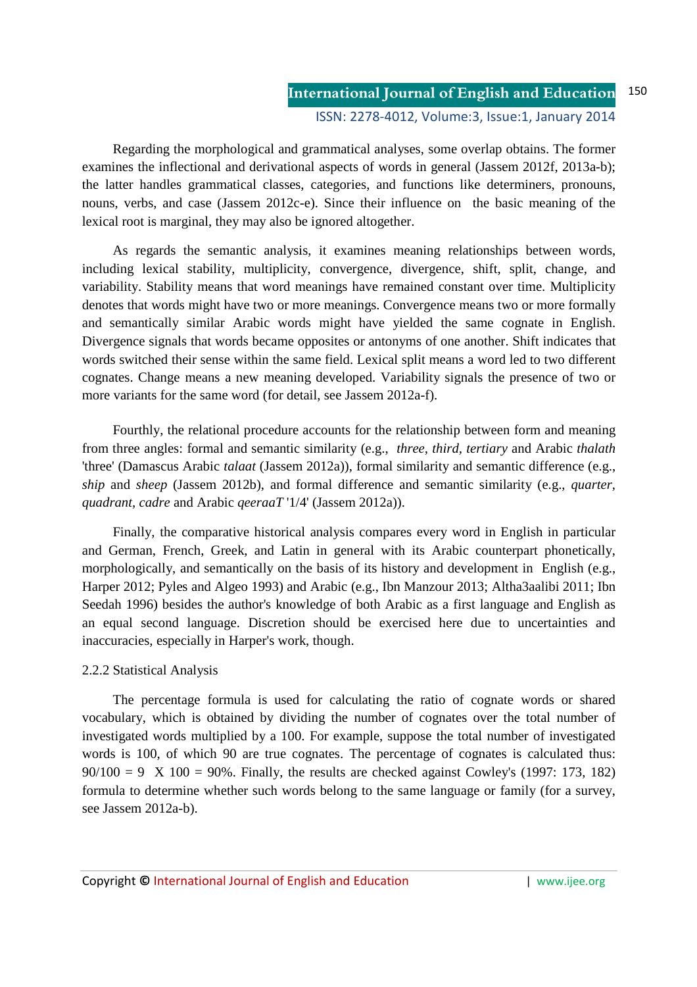#### **International Journal of English and Education** ISSN: 2278-4012, Volume:3, Issue:1, January 2014 150

Regarding the morphological and grammatical analyses, some overlap obtains. The former examines the inflectional and derivational aspects of words in general (Jassem 2012f, 2013a-b); the latter handles grammatical classes, categories, and functions like determiners, pronouns, nouns, verbs, and case (Jassem 2012c-e). Since their influence on the basic meaning of the lexical root is marginal, they may also be ignored altogether.

As regards the semantic analysis, it examines meaning relationships between words, including lexical stability, multiplicity, convergence, divergence, shift, split, change, and variability. Stability means that word meanings have remained constant over time. Multiplicity denotes that words might have two or more meanings. Convergence means two or more formally and semantically similar Arabic words might have yielded the same cognate in English. Divergence signals that words became opposites or antonyms of one another. Shift indicates that words switched their sense within the same field. Lexical split means a word led to two different cognates. Change means a new meaning developed. Variability signals the presence of two or more variants for the same word (for detail, see Jassem 2012a-f).

Fourthly, the relational procedure accounts for the relationship between form and meaning from three angles: formal and semantic similarity (e.g., *three, third, tertiary* and Arabic *thalath* 'three' (Damascus Arabic *talaat* (Jassem 2012a)), formal similarity and semantic difference (e.g., *ship* and *sheep* (Jassem 2012b), and formal difference and semantic similarity (e.g., *quarter, quadrant, cadre* and Arabic *qeeraaT* '1/4' (Jassem 2012a)).

Finally, the comparative historical analysis compares every word in English in particular and German, French, Greek, and Latin in general with its Arabic counterpart phonetically, morphologically, and semantically on the basis of its history and development in English (e.g., Harper 2012; Pyles and Algeo 1993) and Arabic (e.g., Ibn Manzour 2013; Altha3aalibi 2011; Ibn Seedah 1996) besides the author's knowledge of both Arabic as a first language and English as an equal second language. Discretion should be exercised here due to uncertainties and inaccuracies, especially in Harper's work, though.

## 2.2.2 Statistical Analysis

The percentage formula is used for calculating the ratio of cognate words or shared vocabulary, which is obtained by dividing the number of cognates over the total number of investigated words multiplied by a 100. For example, suppose the total number of investigated words is 100, of which 90 are true cognates. The percentage of cognates is calculated thus:  $90/100 = 9$  X  $100 = 90\%$ . Finally, the results are checked against Cowley's (1997: 173, 182) formula to determine whether such words belong to the same language or family (for a survey, see Jassem 2012a-b).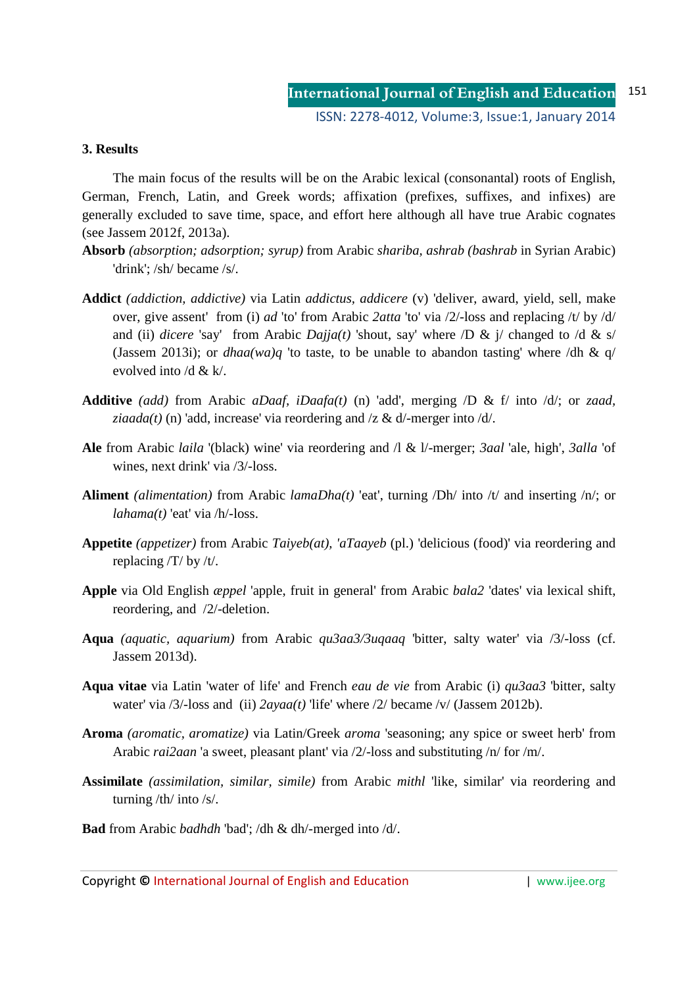## **3. Results**

The main focus of the results will be on the Arabic lexical (consonantal) roots of English, German, French, Latin, and Greek words; affixation (prefixes, suffixes, and infixes) are generally excluded to save time, space, and effort here although all have true Arabic cognates (see Jassem 2012f, 2013a).

- **Absorb** *(absorption; adsorption; syrup)* from Arabic *shariba, ashrab (bashrab* in Syrian Arabic) 'drink'; /sh/ became /s/.
- **Addict** *(addiction, addictive)* via Latin *addictus, addicere* (v) 'deliver, award, yield, sell, make over, give assent' from (i) *ad* 'to' from Arabic *2atta* 'to' via /2/-loss and replacing /t/ by /d/ and (ii) *dicere* 'say' from Arabic *Dajja(t)* 'shout, say' where  $\overline{D} \& \overline{I}$  changed to  $\overline{A} \& \overline{S}$ (Jassem 2013i); or *dhaa(wa)q* 'to taste, to be unable to abandon tasting' where /dh & q/ evolved into /d & k/.
- **Additive** *(add)* from Arabic *aDaaf, iDaafa(t)* (n) 'add', merging /D & f/ into /d/; or *zaad, ziaada(t)* (n) 'add, increase' via reordering and  $\ell z \& d$  -merger into  $\ell d$ .
- **Ale** from Arabic *laila* '(black) wine' via reordering and /l & l/-merger; *3aal* 'ale, high', *3alla* 'of wines, next drink' via /3/-loss.
- **Aliment** *(alimentation)* from Arabic *lamaDha(t)* 'eat', turning /Dh/ into /t/ and inserting /n/; or *lahama(t)* 'eat' via /h/-loss.
- **Appetite** *(appetizer)* from Arabic *Taiyeb(at), 'aTaayeb* (pl.) 'delicious (food)' via reordering and replacing /T/ by /t/.
- **Apple** via Old English *æppel* 'apple, fruit in general' from Arabic *bala2* 'dates' via lexical shift, reordering, and /2/-deletion.
- **Aqua** *(aquatic, aquarium)* from Arabic *qu3aa3/3uqaaq* 'bitter, salty water' via /3/-loss (cf. Jassem 2013d).
- **Aqua vitae** via Latin 'water of life' and French *eau de vie* from Arabic (i) *qu3aa3* 'bitter, salty water' via /3/-loss and (ii) *2ayaa(t)* 'life' where /2/ became /v/ (Jassem 2012b).
- **Aroma** *(aromatic, aromatize)* via Latin/Greek *aroma* 'seasoning; any spice or sweet herb' from Arabic *rai2aan* 'a sweet, pleasant plant' via /2/-loss and substituting /n/ for /m/.
- **Assimilate** *(assimilation, similar, simile)* from Arabic *mithl* 'like, similar' via reordering and turning /th/ into /s/.
- **Bad** from Arabic *badhdh* 'bad'; /dh & dh/-merged into /d/.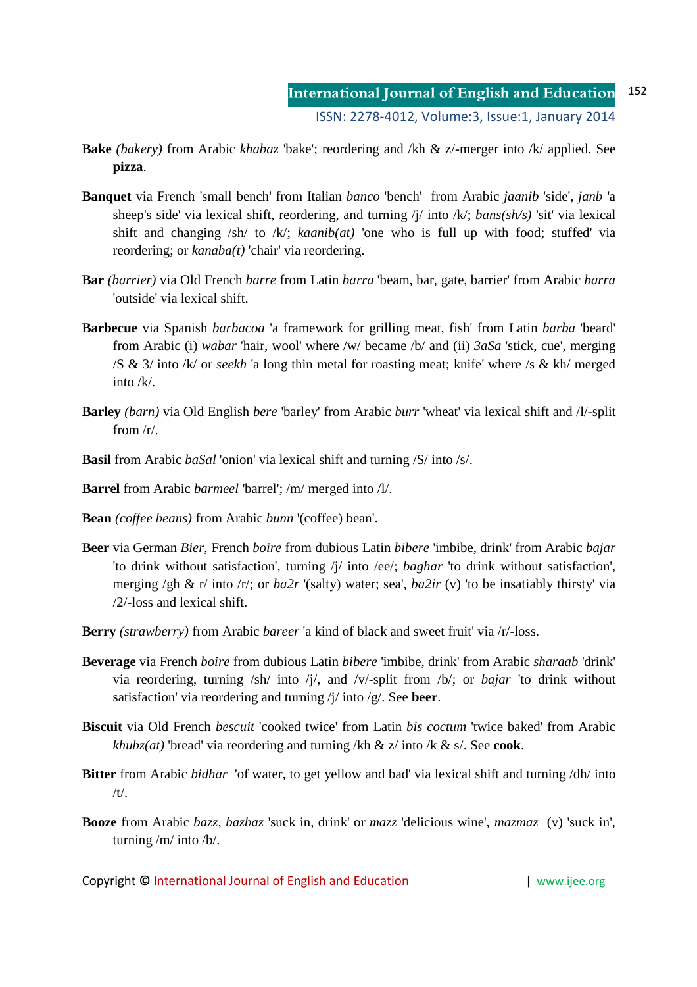- **Bake** *(bakery)* from Arabic *khabaz* 'bake'; reordering and /kh & z/-merger into /k/ applied. See **pizza**.
- **Banquet** via French 'small bench' from Italian *banco* 'bench' from Arabic *jaanib* 'side', *janb* 'a sheep's side' via lexical shift, reordering, and turning /j/ into /k/; *bans(sh/s)* 'sit' via lexical shift and changing /sh/ to /k/; *kaanib(at)* 'one who is full up with food; stuffed' via reordering; or *kanaba(t)* 'chair' via reordering.
- **Bar** *(barrier)* via Old French *barre* from Latin *barra* 'beam, bar, gate, barrier' from Arabic *barra*  'outside' via lexical shift.
- **Barbecue** via Spanish *barbacoa* 'a framework for grilling meat, fish' from Latin *barba* 'beard' from Arabic (i) *wabar* 'hair, wool' where /w/ became /b/ and (ii) *3aSa* 'stick, cue', merging /S & 3/ into /k/ or *seekh* 'a long thin metal for roasting meat; knife' where /s & kh/ merged into  $/k/$ .
- **Barley** *(barn)* via Old English *bere* 'barley' from Arabic *burr* 'wheat' via lexical shift and /l/-split from /r/.
- **Basil** from Arabic *baSal* 'onion' via lexical shift and turning /S/ into /s/.
- **Barrel** from Arabic *barmeel* 'barrel'; /m/ merged into /l/.
- **Bean** *(coffee beans)* from Arabic *bunn* '(coffee) bean'.
- **Beer** via German *Bier*, French *boire* from dubious Latin *bibere* 'imbibe, drink' from Arabic *bajar*  'to drink without satisfaction', turning /j/ into /ee/; *baghar* 'to drink without satisfaction', merging /gh & r/ into /r/; or *ba2r* '(salty) water; sea', *ba2ir* (v) 'to be insatiably thirsty' via /2/-loss and lexical shift.
- **Berry** *(strawberry)* from Arabic *bareer* 'a kind of black and sweet fruit' via /r/-loss.
- **Beverage** via French *boire* from dubious Latin *bibere* 'imbibe, drink' from Arabic *sharaab* 'drink' via reordering, turning /sh/ into /j/, and /v/-split from /b/; or *bajar* 'to drink without satisfaction' via reordering and turning /j/ into /g/. See **beer**.
- **Biscuit** via Old French *bescuit* 'cooked twice' from Latin *bis coctum* 'twice baked' from Arabic *khubz(at)* 'bread' via reordering and turning /kh & z/ into /k & s/. See **cook**.
- **Bitter** from Arabic *bidhar* 'of water, to get yellow and bad' via lexical shift and turning /dh/ into  $/t/$ .
- **Booze** from Arabic *bazz, bazbaz* 'suck in, drink' or *mazz* 'delicious wine', *mazmaz* (v) 'suck in', turning /m/ into /b/.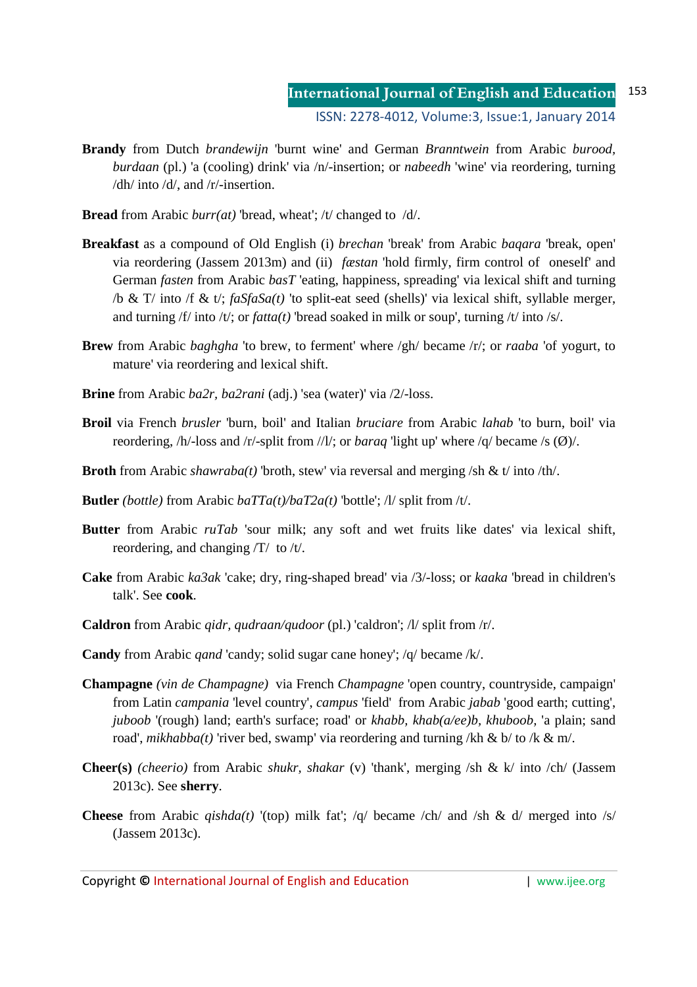### **International Journal of English and Education** ISSN: 2278-4012, Volume:3, Issue:1, January 2014 153

- **Brandy** from Dutch *brandewijn* 'burnt wine' and German *Branntwein* from Arabic *burood, burdaan* (pl.) 'a (cooling) drink' via /n/-insertion; or *nabeedh* 'wine' via reordering, turning /dh/ into /d/, and /r/-insertion.
- **Bread** from Arabic *burr(at)* 'bread, wheat'; /t/ changed to /d/.
- **Breakfast** as a compound of Old English (i) *brechan* 'break' from Arabic *baqara* 'break, open' via reordering (Jassem 2013m) and (ii) *fæstan* 'hold firmly, firm control of oneself' and German *fasten* from Arabic *basT* 'eating, happiness, spreading' via lexical shift and turning /b & T/ into /f & t/; *faSfaSa(t)* 'to split-eat seed (shells)' via lexical shift, syllable merger, and turning /f/ into /t/; or *fatta(t)* 'bread soaked in milk or soup', turning /t/ into /s/.
- **Brew** from Arabic *baghgha* 'to brew, to ferment' where /gh/ became /r/; or *raaba* 'of yogurt, to mature' via reordering and lexical shift.
- **Brine** from Arabic *ba2r, ba2rani* (adj.) 'sea (water)' via /2/-loss.
- **Broil** via French *brusler* 'burn, boil' and Italian *bruciare* from Arabic *lahab* 'to burn, boil' via reordering, /h/-loss and /r/-split from //l/; or *baraq* 'light up' where /q/ became /s (Ø)/.
- **Broth** from Arabic *shawraba(t)* 'broth, stew' via reversal and merging /sh & t/ into /th/.
- **Butler** *(bottle)* from Arabic  $b a T T a(t) / b a T 2 a(t)$  *'bottle'; /l/ split from /t/.*
- **Butter** from Arabic *ruTab* 'sour milk; any soft and wet fruits like dates' via lexical shift, reordering, and changing /T/ to /t/.
- **Cake** from Arabic *ka3ak* 'cake; dry, ring-shaped bread' via /3/-loss; or *kaaka* 'bread in children's talk'. See **cook**.
- **Caldron** from Arabic *qidr, qudraan/qudoor* (pl.) 'caldron'; /l/ split from /r/.
- **Candy** from Arabic *qand* 'candy; solid sugar cane honey'; /q/ became /k/.
- **Champagne** *(vin de Champagne)*via French *Champagne* 'open country, countryside, campaign' from Latin *campania* 'level country', *campus* 'field' from Arabic *jabab* 'good earth; cutting', *juboob* '(rough) land; earth's surface; road' or *khabb, khab(a/ee)b, khuboob,* 'a plain; sand road', *mikhabba(t)* 'river bed, swamp' via reordering and turning /kh & b/ to /k & m/.
- **Cheer(s)** *(cheerio)* from Arabic *shukr, shakar* (v) 'thank', merging /sh & k/ into /ch/ (Jassem 2013c). See **sherry**.
- **Cheese** from Arabic *qishda(t)* '(top) milk fat'; /q/ became /ch/ and /sh & d/ merged into /s/ (Jassem 2013c).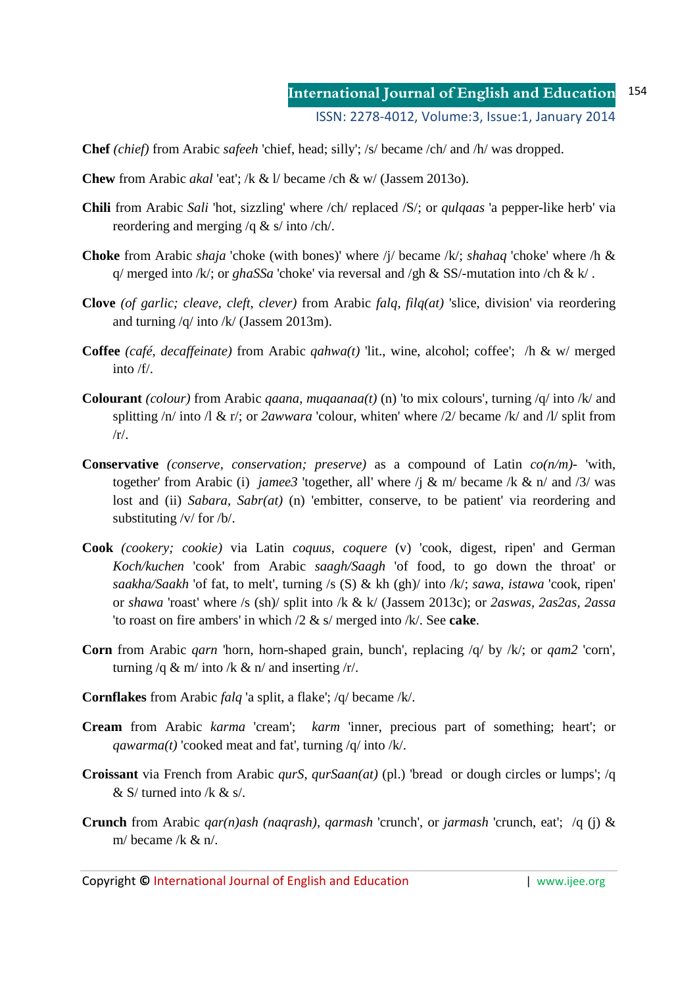**Chef** *(chief)* from Arabic *safeeh* 'chief, head; silly'; /s/ became /ch/ and /h/ was dropped.

- **Chew** from Arabic *akal* 'eat'; /k & l/ became /ch & w/ (Jassem 2013o).
- **Chili** from Arabic *Sali* 'hot, sizzling' where /ch/ replaced /S/; or *qulqaas* 'a pepper-like herb' via reordering and merging /q & s/ into /ch/.
- **Choke** from Arabic *shaja* 'choke (with bones)' where /j/ became /k/; *shahaq* 'choke' where /h & q/ merged into /k/; or *ghaSSa* 'choke' via reversal and /gh & SS/-mutation into /ch & k/ .
- **Clove** *(of garlic; cleave, cleft, clever)* from Arabic *falq, filq(at)* 'slice, division' via reordering and turning /q/ into /k/ (Jassem 2013m).
- **Coffee** *(café, decaffeinate)* from Arabic *qahwa(t)* 'lit., wine, alcohol; coffee'; /h & w/ merged into /f/.
- **Colourant** *(colour)* from Arabic *qaana, muqaanaa(t)* (n) 'to mix colours', turning /q/ into /k/ and splitting /n/ into /l & r/; or *2awwara* 'colour, whiten' where /2/ became /k/ and /l/ split from  $/r/$ .
- **Conservative** *(conserve, conservation; preserve)* as a compound of Latin *co(n/m)-* 'with, together' from Arabic (i) *jamee3* 'together, all' where /j & m/ became /k & n/ and /3/ was lost and (ii) *Sabara, Sabr(at)* (n) 'embitter, conserve, to be patient' via reordering and substituting /v/ for /b/.
- **Cook** *(cookery; cookie)* via Latin *coquus, coquere* (v) 'cook, digest, ripen' and German *Koch/kuchen* 'cook' from Arabic *saagh/Saagh* 'of food, to go down the throat' or *saakha/Saakh* 'of fat, to melt', turning /s (S) & kh (gh)/ into /k/; *sawa, istawa* 'cook, ripen' or *shawa* 'roast' where /s (sh)/ split into /k & k/ (Jassem 2013c); or *2aswas, 2as2as, 2assa* 'to roast on fire ambers' in which /2 & s/ merged into /k/. See **cake**.
- **Corn** from Arabic *qarn* 'horn, horn-shaped grain, bunch', replacing /q/ by /k/; or *qam2* 'corn', turning /q & m/ into /k & n/ and inserting /r/.
- **Cornflakes** from Arabic *falq* 'a split, a flake'; /q/ became /k/.
- **Cream** from Arabic *karma* 'cream'; *karm* 'inner, precious part of something; heart'; or *qawarma(t)* 'cooked meat and fat', turning /q/ into /k/.
- **Croissant** via French from Arabic *qurS, qurSaan(at)* (pl.) 'bread or dough circles or lumps'; /q  $& S$  turned into /k  $& S$ .
- **Crunch** from Arabic *qar(n)ash (naqrash), qarmash* 'crunch', or *jarmash* 'crunch, eat'; /q (j) & m/ became /k  $\&$  n/.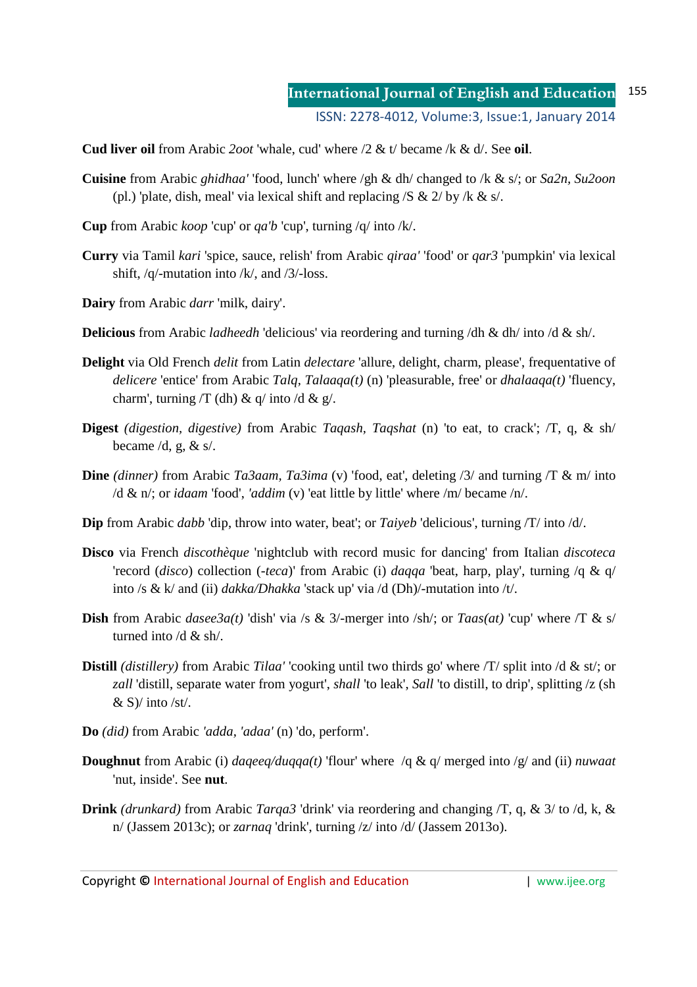### **International Journal of English and Education** ISSN: 2278-4012, Volume:3, Issue:1, January 2014 155

**Cud liver oil** from Arabic *2oot* 'whale, cud' where /2 & t/ became /k & d/. See **oil**.

- **Cuisine** from Arabic *ghidhaa'* 'food, lunch' where /gh & dh/ changed to /k & s/; or *Sa2n, Su2oon*  (pl.) 'plate, dish, meal' via lexical shift and replacing  $/S \& 2/$  by  $/k \& s$ .
- **Cup** from Arabic *koop* 'cup' or *qa'b* 'cup', turning /q/ into /k/.
- **Curry** via Tamil *kari* 'spice, sauce, relish' from Arabic *qiraa'* 'food' or *qar3* 'pumpkin' via lexical shift, /q/-mutation into /k/, and /3/-loss.
- **Dairy** from Arabic *darr* 'milk, dairy'.
- **Delicious** from Arabic *ladheedh* 'delicious' via reordering and turning /dh & dh/ into /d & sh/.
- **Delight** via Old French *delit* from Latin *delectare* 'allure, delight, charm, please', frequentative of *delicere* 'entice' from Arabic *Talq, Talaaqa(t)* (n) 'pleasurable, free' or *dhalaaqa(t)* 'fluency, charm', turning  $/T$  (dh) & q/ into /d & g/.
- **Digest** *(digestion, digestive)* from Arabic *Taqash, Taqshat* (n) 'to eat, to crack'; /T, q, & sh/ became  $/d$ , g, & s $/$ .
- **Dine** *(dinner)* from Arabic *Ta3aam, Ta3ima* (v) 'food, eat', deleting /3/ and turning /T & m/ into /d & n/; or *idaam* 'food', *'addim* (v) 'eat little by little' where /m/ became /n/.
- **Dip** from Arabic *dabb* 'dip, throw into water, beat'; or *Taiyeb* 'delicious', turning /T/ into /d/.
- **Disco** via French *discothèque* 'nightclub with record music for dancing' from Italian *discoteca*  'record (*disco*) collection (*-teca*)' from Arabic (i) *daqqa* 'beat, harp, play', turning /q & q/ into /s & k/ and (ii) *dakka/Dhakka* 'stack up' via /d (Dh)/-mutation into /t/.
- **Dish** from Arabic *dasee3a(t)* 'dish' via /s & 3/-merger into /sh/; or *Taas(at)* 'cup' where /T & s/ turned into /d & sh/.
- **Distill** *(distillery)* from Arabic *Tilaa'* 'cooking until two thirds go' where /T/ split into /d & st/; or *zall* 'distill, separate water from yogurt', *shall* 'to leak', *Sall* 'to distill, to drip', splitting /z (sh  $&$  S)/ into /st/.
- **Do** *(did)* from Arabic *'adda, 'adaa'* (n) 'do, perform'.
- **Doughnut** from Arabic (i) *daqeeq/duqqa(t)* 'flour' where /q & q/ merged into /g/ and (ii) *nuwaat* 'nut, inside'. See **nut**.
- **Drink** *(drunkard)* from Arabic *Tarqa3* 'drink' via reordering and changing /T, q, & 3/ to /d, k, & n/ (Jassem 2013c); or *zarnaq* 'drink', turning /z/ into /d/ (Jassem 2013o).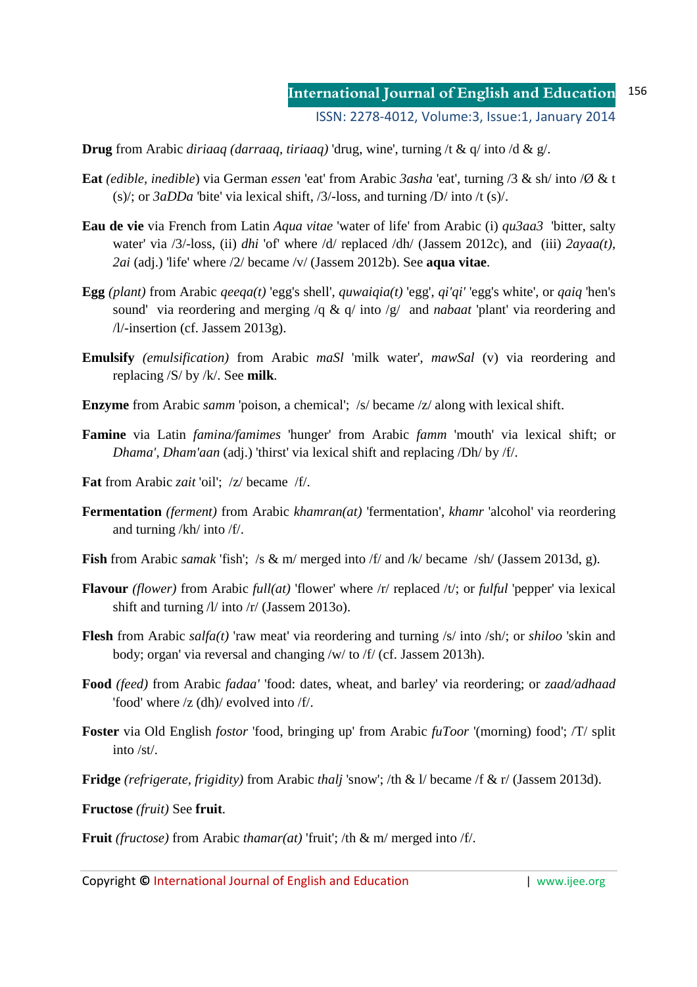**Drug** from Arabic *diriaaq (darraaq, tiriaaq)* 'drug, wine', turning /t & q/ into /d & g/.

- **Eat** *(edible, inedible*) via German *essen* 'eat' from Arabic *3asha* 'eat', turning /3 & sh/ into /Ø & t (s)/; or *3aDDa* 'bite' via lexical shift, /3/-loss, and turning /D/ into /t (s)/.
- **Eau de vie** via French from Latin *Aqua vitae* 'water of life' from Arabic (i) *qu3aa3* 'bitter, salty water' via /3/-loss, (ii) *dhi* 'of' where /d/ replaced /dh/ (Jassem 2012c), and (iii)  $2ayaa(t)$ , *2ai* (adj.) 'life' where /2/ became /v/ (Jassem 2012b). See **aqua vitae**.
- **Egg** *(plant)* from Arabic *qeeqa(t)* 'egg's shell', *quwaiqia(t)* 'egg', *qi'qi'* 'egg's white', or *qaiq* 'hen's sound' via reordering and merging /q & q/ into /g/ and *nabaat* 'plant' via reordering and /l/-insertion (cf. Jassem 2013g).
- **Emulsify** *(emulsification)* from Arabic *maSl* 'milk water', *mawSal* (v) via reordering and replacing /S/ by /k/. See **milk**.
- **Enzyme** from Arabic *samm* 'poison, a chemical'; /s/ became /z/ along with lexical shift.
- **Famine** via Latin *famina/famimes* 'hunger' from Arabic *famm* 'mouth' via lexical shift; or *Dhama', Dham'aan* (adj.) 'thirst' via lexical shift and replacing /Dh/ by /f/.
- **Fat** from Arabic *zait* 'oil'; /z/ became /f/.
- **Fermentation** *(ferment)* from Arabic *khamran(at)* 'fermentation', *khamr* 'alcohol' via reordering and turning /kh/ into /f/.
- **Fish** from Arabic *samak* 'fish'; /s & m/ merged into /f/ and /k/ became /sh/ (Jassem 2013d, g).
- **Flavour** *(flower)* from Arabic *full(at)* 'flower' where /r/ replaced /t/; or *fulful* 'pepper' via lexical shift and turning /l/ into /r/ (Jassem 2013o).
- **Flesh** from Arabic *salfa(t)* 'raw meat' via reordering and turning /s/ into /sh/; or *shiloo* 'skin and body; organ' via reversal and changing /w/ to /f/ (cf. Jassem 2013h).
- **Food** *(feed)* from Arabic *fadaa'* 'food: dates, wheat, and barley' via reordering; or *zaad/adhaad* 'food' where /z (dh)/ evolved into /f/.
- **Foster** via Old English *fostor* 'food, bringing up' from Arabic *fuToor* '(morning) food'; /T/ split into /st/.
- **Fridge** *(refrigerate, frigidity)* from Arabic *thalj* 'snow'; /th & l/ became /f & r/ (Jassem 2013d).

**Fructose** *(fruit)* See **fruit**.

**Fruit** *(fructose)* from Arabic *thamar(at)* 'fruit'; /th & m/ merged into /f/.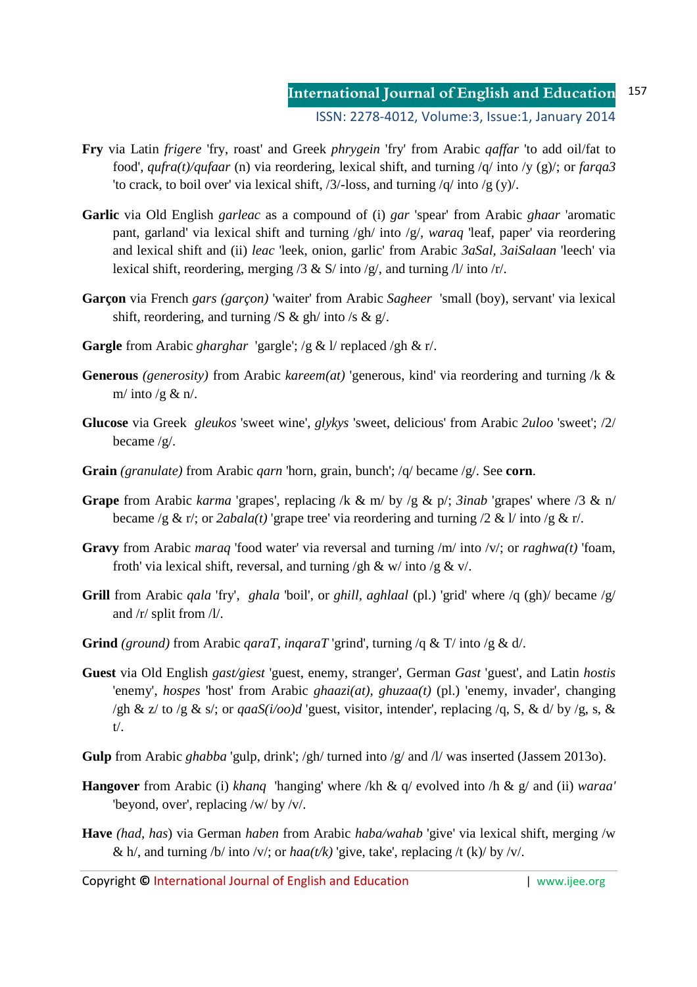- **Fry** via Latin *frigere* 'fry, roast' and Greek *phrygein* 'fry' from Arabic *qaffar* 'to add oil/fat to food', *qufra(t)/qufaar* (n) via reordering, lexical shift, and turning /q/ into /y (g)/; or *farqa3* 'to crack, to boil over' via lexical shift, /3/-loss, and turning /q/ into /g (y)/.
- **Garlic** via Old English *garleac* as a compound of (i) *gar* 'spear' from Arabic *ghaar* 'aromatic pant, garland' via lexical shift and turning /gh/ into /g/, *waraq* 'leaf, paper' via reordering and lexical shift and (ii) *leac* 'leek, onion, garlic' from Arabic *3aSal, 3aiSalaan* 'leech' via lexical shift, reordering, merging /3 & S/ into /g/, and turning /l/ into /r/.
- **Garçon** via French *gars (garçon)* 'waiter' from Arabic *Sagheer* 'small (boy), servant' via lexical shift, reordering, and turning  $/S \& gh/$  into  $/s \& gf$ .
- **Gargle** from Arabic *gharghar* 'gargle'; /g & l/ replaced /gh & r/.
- **Generous** *(generosity)* from Arabic *kareem(at)* 'generous, kind' via reordering and turning /k & m/ into /g  $\&$  n/.
- **Glucose** via Greek *gleukos* 'sweet wine', *glykys* 'sweet, delicious' from Arabic *2uloo* 'sweet'; /2/ became /g/.
- **Grain** *(granulate)* from Arabic *qarn* 'horn, grain, bunch'; /q/ became /g/. See **corn**.
- **Grape** from Arabic *karma* 'grapes', replacing /k & m/ by /g & p/; *3inab* 'grapes' where /3 & n/ became /g & r/; or  $2abala(t)$  'grape tree' via reordering and turning /2 & l/ into /g & r/.
- **Gravy** from Arabic *maraq* 'food water' via reversal and turning /m/ into /v/; or *raghwa(t)* 'foam, froth' via lexical shift, reversal, and turning  $/\text{gh } \& w/\text{ into } /g \& v/$ .
- **Grill** from Arabic *qala* 'fry', *ghala* 'boil', or *ghill, aghlaal* (pl.) 'grid' where /q (gh)/ became /g/ and /r/ split from /l/.
- **Grind** *(ground)* from Arabic *qaraT, inqaraT* 'grind', turning /q & T/ into /g & d/.
- **Guest** via Old English *gast/giest* 'guest, enemy, stranger', German *Gast* 'guest', and Latin *hostis* 'enemy', *hospes* 'host' from Arabic *ghaazi(at), ghuzaa(t)* (pl.) 'enemy, invader', changing /gh & z/ to /g & s/; or  $qaaS(i/oo)d$  'guest, visitor, intender', replacing /q, S, & d/ by /g, s, & t/.
- **Gulp** from Arabic *ghabba* 'gulp, drink'; /gh/ turned into /g/ and /l/ was inserted (Jassem 2013o).
- **Hangover** from Arabic (i) *khanq* 'hanging' where /kh & q/ evolved into /h & g/ and (ii) *waraa'*  'beyond, over', replacing /w/ by /v/.
- **Have** *(had, has*) via German *haben* from Arabic *haba/wahab* 'give' via lexical shift, merging /w & h/, and turning /b/ into /v/; or  $haa(t/k)$  'give, take', replacing /t (k)/ by /v/.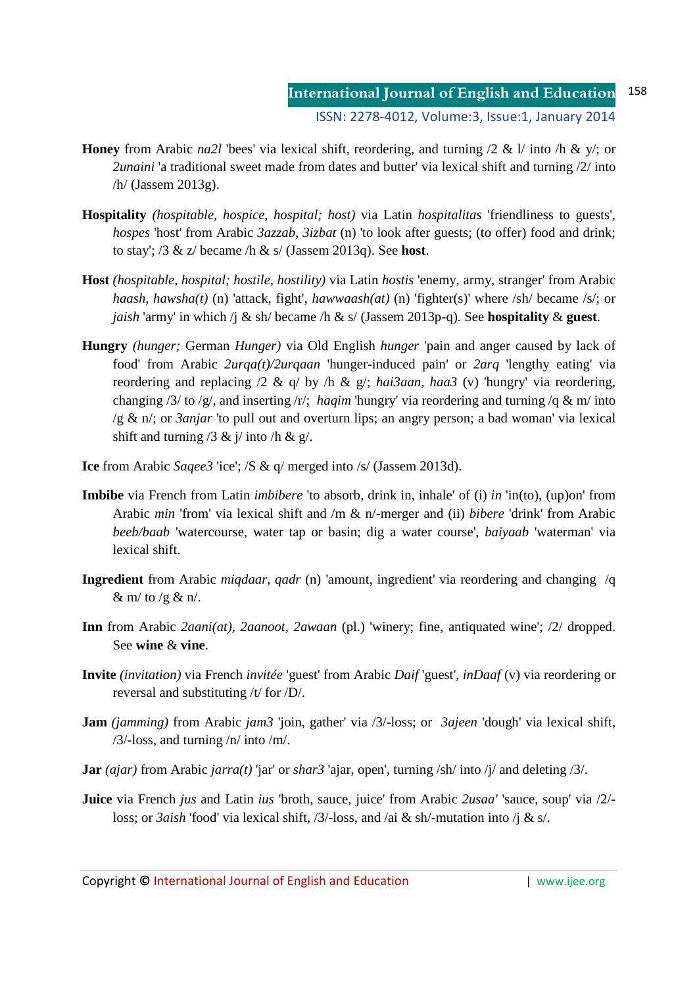- **Honey** from Arabic *na2l* 'bees' via lexical shift, reordering, and turning /2 & l/ into /h & y/; or *2unaini* 'a traditional sweet made from dates and butter' via lexical shift and turning /2/ into /h/ (Jassem 2013g).
- **Hospitality** *(hospitable, hospice, hospital; host)* via Latin *hospitalitas* 'friendliness to guests', *hospes* 'host' from Arabic *3azzab, 3izbat* (n) 'to look after guests; (to offer) food and drink; to stay'; /3 & z/ became /h & s/ (Jassem 2013q). See **host**.
- **Host** *(hospitable, hospital; hostile, hostility)* via Latin *hostis* 'enemy, army, stranger' from Arabic *haash, hawsha(t)* (n) 'attack, fight', *hawwaash(at)* (n) 'fighter(s)' where /sh/ became /s/; or *jaish* 'army' in which /j & sh/ became /h & s/ (Jassem 2013p-q). See **hospitality** & **guest**.
- **Hungry** *(hunger;* German *Hunger)* via Old English *hunger* 'pain and anger caused by lack of food' from Arabic *2urqa(t)/2urqaan* 'hunger-induced pain' or *2arq* 'lengthy eating' via reordering and replacing /2 & q/ by /h & g/; *hai3aan, haa3* (v) 'hungry' via reordering, changing /3/ to /g/, and inserting /r/; *haqim* 'hungry' via reordering and turning /q & m/ into /g & n/; or *3anjar* 'to pull out and overturn lips; an angry person; a bad woman' via lexical shift and turning  $/3 \& \frac{\text{i}}{\text{ii}}$  into  $/\text{h} \& \frac{\text{g}}{\text{i}}$ .
- **Ice** from Arabic *Saqee3* 'ice'; /S & q/ merged into /s/ (Jassem 2013d).
- **Imbibe** via French from Latin *imbibere* 'to absorb, drink in, inhale' of (i) *in* 'in(to), (up)on' from Arabic *min* 'from' via lexical shift and /m & n/-merger and (ii) *bibere* 'drink' from Arabic *beeb/baab* 'watercourse, water tap or basin; dig a water course', *baiyaab* 'waterman' via lexical shift.
- **Ingredient** from Arabic *miqdaar, qadr* (n) 'amount, ingredient' via reordering and changing /q & m/ to /g & n/.
- **Inn** from Arabic *2aani(at), 2aanoot, 2awaan* (pl.) 'winery; fine, antiquated wine'; /2/ dropped. See **wine** & **vine**.
- **Invite** *(invitation)* via French *invitée* 'guest' from Arabic *Daif* 'guest', *inDaaf* (v) via reordering or reversal and substituting /t/ for /D/.
- **Jam** *(jamming)* from Arabic *jam3* 'join, gather' via /3/-loss; or *3ajeen* 'dough' via lexical shift,  $/3$ /-loss, and turning  $/n/$  into  $/m/$ .
- **Jar** *(ajar)* from Arabic *jarra(t)* 'jar' or *shar3* 'ajar, open', turning /sh/ into /j/ and deleting /3/.
- **Juice** via French *jus* and Latin *ius* 'broth, sauce, juice' from Arabic *2usaa'* 'sauce, soup' via /2/ loss; or *3aish* 'food' via lexical shift, /3/-loss, and /ai & sh/-mutation into /j & s/.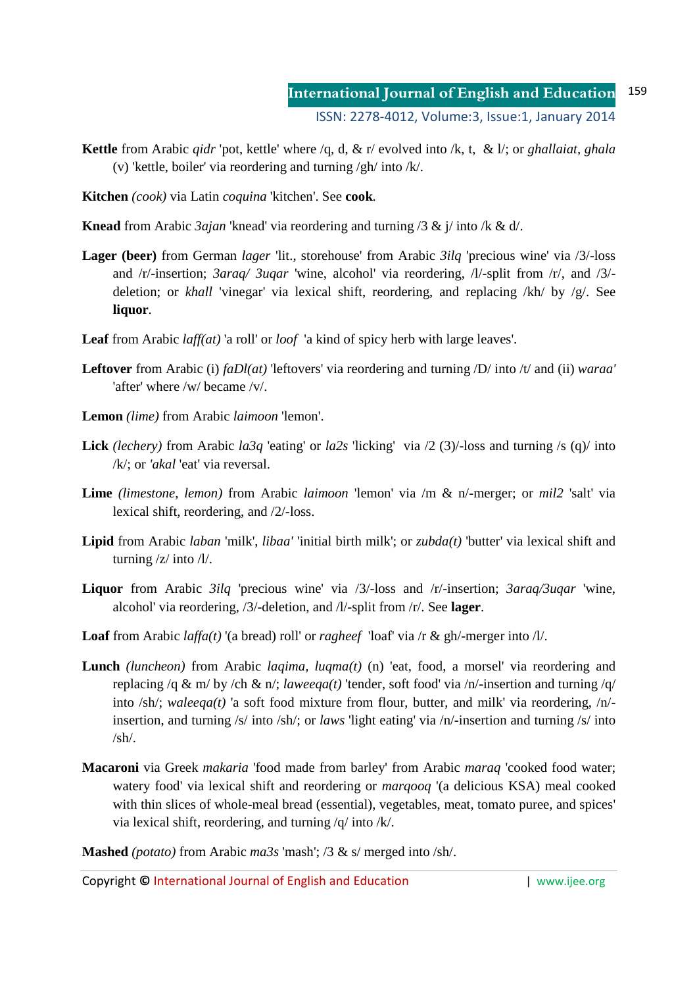- **Kettle** from Arabic *qidr* 'pot, kettle' where /q, d, & r/ evolved into /k, t, & l/; or *ghallaiat, ghala*  (v) 'kettle, boiler' via reordering and turning /gh/ into /k/.
- **Kitchen** *(cook)* via Latin *coquina* 'kitchen'. See **cook**.
- **Knead** from Arabic *3ajan* 'knead' via reordering and turning /3 & j/ into /k & d/.
- **Lager (beer)** from German *lager* 'lit., storehouse' from Arabic *3ilq* 'precious wine' via /3/-loss and /r/-insertion; *3araq/ 3uqar* 'wine, alcohol' via reordering, /l/-split from /r/, and /3/ deletion; or *khall* 'vinegar' via lexical shift, reordering, and replacing /kh/ by /g/. See **liquor**.
- **Leaf** from Arabic *laff(at)* 'a roll' or *loof* 'a kind of spicy herb with large leaves'.
- **Leftover** from Arabic (i) *faDl(at)* 'leftovers' via reordering and turning /D/ into /t/ and (ii) *waraa'* 'after' where /w/ became /v/.
- **Lemon** *(lime)* from Arabic *laimoon* 'lemon'.
- **Lick** *(lechery)* from Arabic *la3q* 'eating' or *la2s* 'licking' via /2 (3)/-loss and turning /s (q)/ into /k/; or *'akal* 'eat' via reversal.
- **Lime** *(limestone, lemon)* from Arabic *laimoon* 'lemon' via /m & n/-merger; or *mil2* 'salt' via lexical shift, reordering, and /2/-loss.
- **Lipid** from Arabic *laban* 'milk', *libaa'* 'initial birth milk'; or *zubda(t)* 'butter' via lexical shift and turning /z/ into /l/.
- **Liquor** from Arabic *3ilq* 'precious wine' via /3/-loss and /r/-insertion; *3araq/3uqar* 'wine, alcohol' via reordering, /3/-deletion, and /l/-split from /r/. See **lager**.
- **Loaf** from Arabic *laffa(t)* '(a bread) roll' or *ragheef* 'loaf' via /r & gh/-merger into /l/.
- **Lunch** *(luncheon)* from Arabic *laqima, luqma(t)* (n) 'eat, food, a morsel' via reordering and replacing /q & m/ by /ch & n/; *laweeqa(t)* 'tender, soft food' via /n/-insertion and turning /q/ into /sh/; *waleeqa(t)* 'a soft food mixture from flour, butter, and milk' via reordering, /n/ insertion, and turning /s/ into /sh/; or *laws* 'light eating' via /n/-insertion and turning /s/ into  $/sh/$ .
- **Macaroni** via Greek *makaria* 'food made from barley' from Arabic *maraq* 'cooked food water; watery food' via lexical shift and reordering or *marqooq* '(a delicious KSA) meal cooked with thin slices of whole-meal bread (essential), vegetables, meat, tomato puree, and spices' via lexical shift, reordering, and turning /q/ into /k/.

**Mashed** *(potato)* from Arabic *ma3s* 'mash'; /3 & s/ merged into /sh/.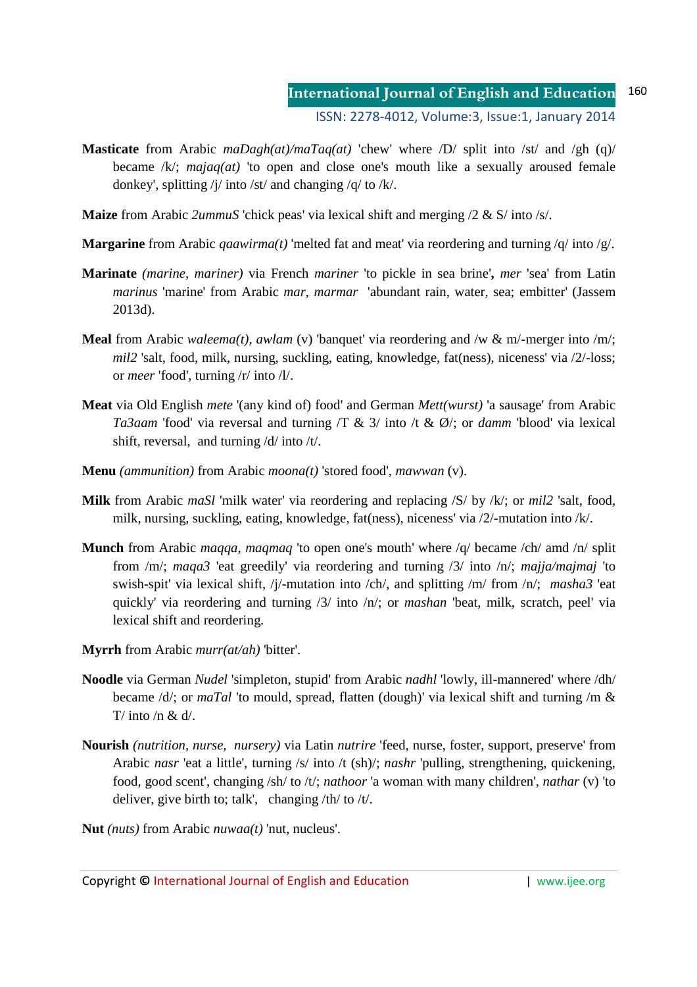- **Masticate** from Arabic *maDagh(at)/maTaq(at)* 'chew' where /D/ split into /st/ and /gh (q)/ became /k/; *majaq(at)* 'to open and close one's mouth like a sexually aroused female donkey', splitting /j/ into /st/ and changing /q/ to /k/.
- **Maize** from Arabic *2ummuS* 'chick peas' via lexical shift and merging /2 & S/ into /s/.
- **Margarine** from Arabic *qaawirma(t)* 'melted fat and meat' via reordering and turning /q/ into /g/.
- **Marinate** *(marine, mariner)* via French *mariner* 'to pickle in sea brine'**,** *mer* 'sea' from Latin *marinus* 'marine' from Arabic *mar, marmar* 'abundant rain, water, sea; embitter' (Jassem 2013d).
- **Meal** from Arabic *waleema(t), awlam* (v) 'banquet' via reordering and /w & m/-merger into /m/; *mil2* 'salt, food, milk, nursing, suckling, eating, knowledge, fat(ness), niceness' via /2/-loss; or *meer* 'food', turning /r/ into /l/.
- **Meat** via Old English *mete* '(any kind of) food' and German *Mett(wurst)* 'a sausage' from Arabic *Ta3aam* 'food' via reversal and turning /T & 3/ into /t & Ø/; or *damm* 'blood' via lexical shift, reversal, and turning /d/ into /t/.
- **Menu** *(ammunition)* from Arabic *moona(t)* 'stored food', *mawwan* (v).
- **Milk** from Arabic *maSl* 'milk water' via reordering and replacing /S/ by /k/; or *mil2* 'salt, food, milk, nursing, suckling, eating, knowledge, fat(ness), niceness' via /2/-mutation into /k/.
- **Munch** from Arabic *maqqa, maqmaq* 'to open one's mouth' where /q/ became /ch/ amd /n/ split from /m/; *maqa3* 'eat greedily' via reordering and turning /3/ into /n/; *majja/majmaj* 'to swish-spit' via lexical shift, /j/-mutation into /ch/, and splitting /m/ from /n/; *masha3* 'eat quickly' via reordering and turning /3/ into /n/; or *mashan* 'beat, milk, scratch, peel' via lexical shift and reordering.
- **Myrrh** from Arabic *murr(at/ah)* 'bitter'.
- **Noodle** via German *Nudel* 'simpleton, stupid' from Arabic *nadhl* 'lowly, ill-mannered' where /dh/ became /d/; or *maTal* 'to mould, spread, flatten (dough)' via lexical shift and turning /m & T/ into /n  $\&$  d/
- **Nourish** *(nutrition, nurse, nursery)* via Latin *nutrire* 'feed, nurse, foster, support, preserve' from Arabic *nasr* 'eat a little', turning /s/ into /t (sh)/; *nashr* 'pulling, strengthening, quickening, food, good scent', changing /sh/ to /t/; *nathoor* 'a woman with many children', *nathar* (v) 'to deliver, give birth to; talk', changing /th/ to /t/.
- **Nut** *(nuts)* from Arabic *nuwaa(t)* 'nut, nucleus'.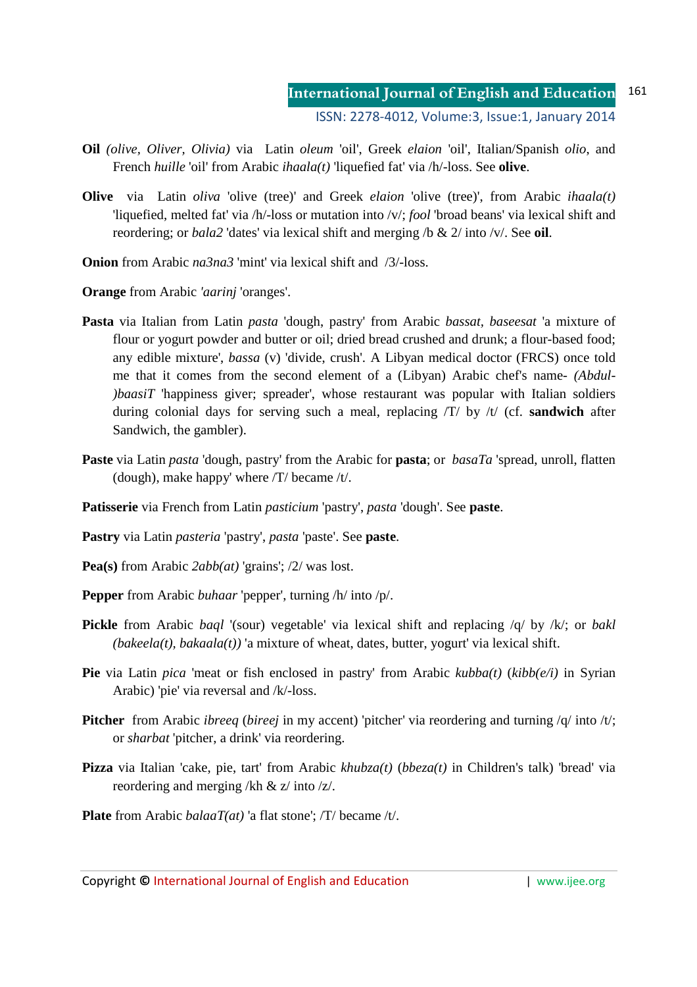- **Oil** *(olive, Oliver, Olivia)* via Latin *oleum* 'oil', Greek *elaion* 'oil', Italian/Spanish *olio*, and French *huille* 'oil' from Arabic *ihaala(t)* 'liquefied fat' via /h/-loss. See **olive**.
- **Olive** via Latin *oliva* 'olive (tree)' and Greek *elaion* 'olive (tree)', from Arabic *ihaala(t)*  'liquefied, melted fat' via /h/-loss or mutation into /v/; *fool* 'broad beans' via lexical shift and reordering; or *bala2* 'dates' via lexical shift and merging /b & 2/ into /v/. See **oil**.
- **Onion** from Arabic *na3na3* 'mint' via lexical shift and /3/-loss.

**Orange** from Arabic *'aarinj* 'oranges'.

- **Pasta** via Italian from Latin *pasta* 'dough, pastry' from Arabic *bassat, baseesat* 'a mixture of flour or yogurt powder and butter or oil; dried bread crushed and drunk; a flour-based food; any edible mixture', *bassa* (v) 'divide, crush'. A Libyan medical doctor (FRCS) once told me that it comes from the second element of a (Libyan) Arabic chef's name- *(Abdul- )baasiT* 'happiness giver; spreader', whose restaurant was popular with Italian soldiers during colonial days for serving such a meal, replacing /T/ by /t/ (cf. **sandwich** after Sandwich, the gambler).
- **Paste** via Latin *pasta* 'dough, pastry' from the Arabic for **pasta**; or *basaTa* 'spread, unroll, flatten (dough), make happy' where /T/ became /t/.
- **Patisserie** via French from Latin *pasticium* 'pastry', *pasta* 'dough'. See **paste**.
- **Pastry** via Latin *pasteria* 'pastry', *pasta* 'paste'. See **paste**.
- **Pea(s)** from Arabic *2abb(at)* 'grains'; /2/ was lost.
- **Pepper** from Arabic *buhaar* 'pepper', turning /h/ into /p/.
- **Pickle** from Arabic *baql* '(sour) vegetable' via lexical shift and replacing /q/ by /k/; or *bakl (bakeela(t), bakaala(t))* 'a mixture of wheat, dates, butter, yogurt' via lexical shift.
- **Pie** via Latin *pica* 'meat or fish enclosed in pastry' from Arabic *kubba(t)* (*kibb(e/i)* in Syrian Arabic) 'pie' via reversal and /k/-loss.
- **Pitcher** from Arabic *ibreeq* (*bireej* in my accent) 'pitcher' via reordering and turning /q/ into /t/; or *sharbat* 'pitcher, a drink' via reordering.
- **Pizza** via Italian 'cake, pie, tart' from Arabic *khubza(t)* (*bbeza(t)* in Children's talk) 'bread' via reordering and merging /kh & z/ into /z/.
- **Plate** from Arabic *balaaT(at)* 'a flat stone'; /T/ became /t/.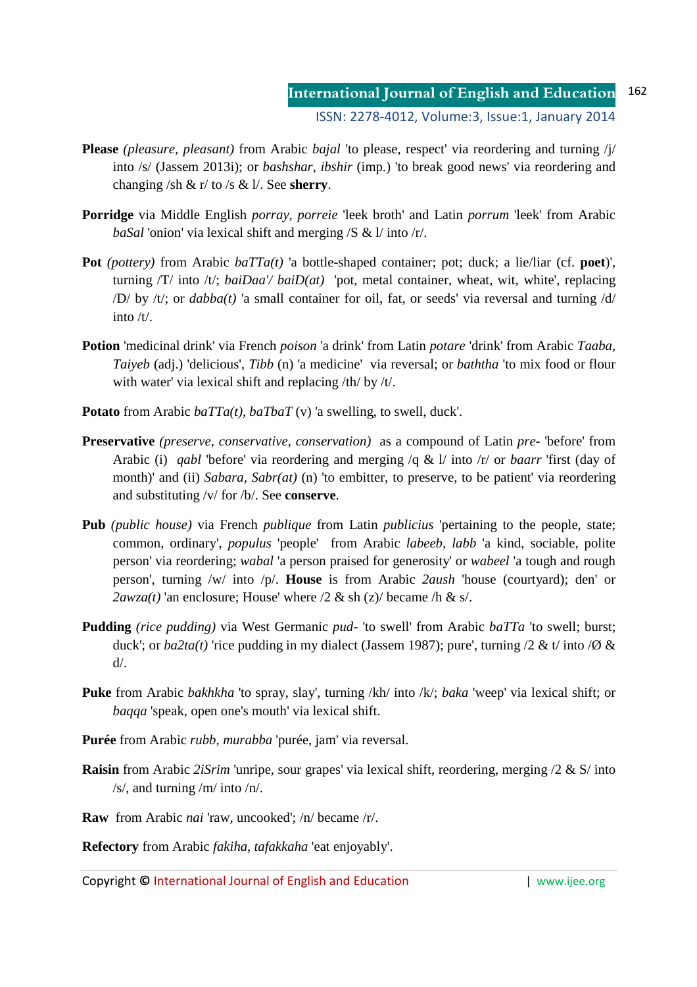- **Please** *(pleasure, pleasant)* from Arabic *bajal* 'to please, respect' via reordering and turning /j/ into /s/ (Jassem 2013i); or *bashshar, ibshir* (imp.) 'to break good news' via reordering and changing /sh & r/ to /s & l/. See **sherry**.
- **Porridge** via Middle English *porray, porreie* 'leek broth' and Latin *porrum* 'leek' from Arabic *baSal* 'onion' via lexical shift and merging /S & l/ into /r/.
- **Pot** *(pottery)* from Arabic *baTTa(t)* 'a bottle-shaped container; pot; duck; a lie/liar (cf. **poet**)', turning /T/ into /t/; *baiDaa'/ baiD(at)* 'pot, metal container, wheat, wit, white', replacing /D/ by /t/; or *dabba(t)* 'a small container for oil, fat, or seeds' via reversal and turning /d/ into  $/t/$ .
- **Potion** 'medicinal drink' via French *poison* 'a drink' from Latin *potare* 'drink' from Arabic *Taaba, Taiyeb* (adj.) 'delicious', *Tibb* (n) 'a medicine' via reversal; or *baththa* 'to mix food or flour with water' via lexical shift and replacing /th/ by /t/.
- **Potato** from Arabic *baTTa(t), baTbaT* (v) 'a swelling, to swell, duck'.
- **Preservative** *(preserve, conservative, conservation)*as a compound of Latin *pre-* 'before' from Arabic (i) *qabl* 'before' via reordering and merging /q & l/ into /r/ or *baarr* 'first (day of month)' and (ii) *Sabara, Sabr(at)* (n) 'to embitter, to preserve, to be patient' via reordering and substituting /v/ for /b/. See **conserve**.
- **Pub** *(public house)* via French *publique* from Latin *publicius* 'pertaining to the people, state; common, ordinary', *populus* 'people' from Arabic *labeeb, labb* 'a kind, sociable, polite person' via reordering; *wabal* 'a person praised for generosity' or *wabeel* 'a tough and rough person', turning /w/ into /p/. **House** is from Arabic *2aush* 'house (courtyard); den' or *2awza(t)* 'an enclosure; House' where  $/2 \&$  sh  $(z)$  became  $/\hbar \&$  s.
- **Pudding** *(rice pudding)* via West Germanic *pud-* 'to swell' from Arabic *baTTa* 'to swell; burst; duck'; or  $ba2ta(t)$  'rice pudding in my dialect (Jassem 1987); pure', turning /2 & t/ into /Ø &  $d/$ .
- **Puke** from Arabic *bakhkha* 'to spray, slay', turning /kh/ into /k/; *baka* 'weep' via lexical shift; or *baqqa* 'speak, open one's mouth' via lexical shift.
- **Purée** from Arabic *rubb, murabba* 'purée, jam' via reversal.
- **Raisin** from Arabic *2iSrim* 'unripe, sour grapes' via lexical shift, reordering, merging /2 & S/ into /s/, and turning /m/ into /n/.
- **Raw** from Arabic *nai* 'raw, uncooked'; /n/ became /r/.

**Refectory** from Arabic *fakiha, tafakkaha* 'eat enjoyably'.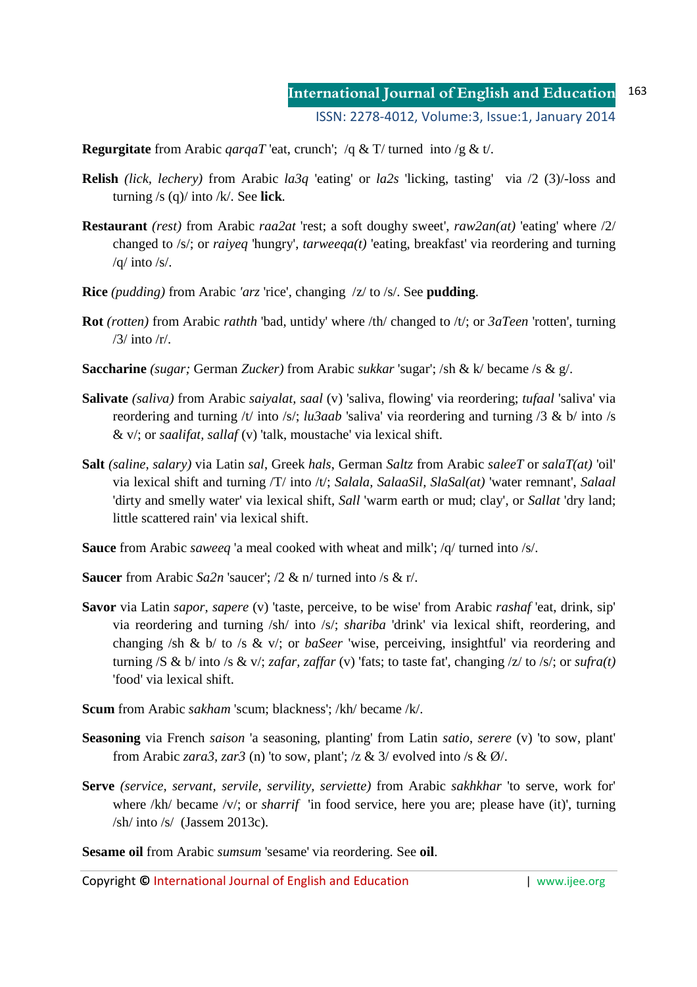**Regurgitate** from Arabic *qarqaT* 'eat, crunch'; /q & T/ turned into /g & t/.

- **Relish** *(lick, lechery)* from Arabic *la3q* 'eating' or *la2s* 'licking, tasting' via /2 (3)/-loss and turning /s (q)/ into /k/. See **lick**.
- **Restaurant** *(rest)* from Arabic *raa2at* 'rest; a soft doughy sweet', *raw2an(at)* 'eating' where /2/ changed to /s/; or *raiyeq* 'hungry', *tarweeqa(t)* 'eating, breakfast' via reordering and turning /q/ into /s/.
- **Rice** *(pudding)* from Arabic *'arz* 'rice', changing /z/ to /s/. See **pudding**.
- **Rot** *(rotten)* from Arabic *rathth* 'bad, untidy' where /th/ changed to /t/; or *3aTeen* 'rotten', turning /3/ into /r/.
- **Saccharine** *(sugar;* German *Zucker)* from Arabic *sukkar* 'sugar'; /sh & k/ became /s & g/.
- **Salivate** *(saliva)* from Arabic *saiyalat, saal* (v) 'saliva, flowing' via reordering; *tufaal* 'saliva' via reordering and turning /t/ into /s/; *lu3aab* 'saliva' via reordering and turning /3 & b/ into /s & v/; or *saalifat, sallaf* (v) 'talk, moustache' via lexical shift.
- **Salt** *(saline, salary)* via Latin *sal*, Greek *hals*, German *Saltz* from Arabic *saleeT* or *salaT(at)* 'oil' via lexical shift and turning /T/ into /t/; *Salala, SalaaSil, SlaSal(at)* 'water remnant', *Salaal* 'dirty and smelly water' via lexical shift, *Sall* 'warm earth or mud; clay', or *Sallat* 'dry land; little scattered rain' via lexical shift.
- **Sauce** from Arabic *saweeq* 'a meal cooked with wheat and milk'; /q/ turned into /s/.
- **Saucer** from Arabic *Sa2n* 'saucer'; /2 & n/ turned into /s & r/.
- **Savor** via Latin *sapor, sapere* (v) 'taste, perceive, to be wise' from Arabic *rashaf* 'eat, drink, sip' via reordering and turning /sh/ into /s/; *shariba* 'drink' via lexical shift, reordering, and changing /sh & b/ to /s & v/; or *baSeer* 'wise, perceiving, insightful' via reordering and turning /S & b/ into /s & v/; *zafar, zaffar* (v) 'fats; to taste fat', changing /z/ to /s/; or *sufra(t)* 'food' via lexical shift.
- **Scum** from Arabic *sakham* 'scum; blackness'; /kh/ became /k/.
- **Seasoning** via French *saison* 'a seasoning, planting' from Latin *satio*, *serere* (v) 'to sow, plant' from Arabic *zara3*, *zar3* (n) 'to sow, plant'; /z & 3/ evolved into /s &  $\emptyset$ /.
- **Serve** *(service, servant, servile, servility, serviette)* from Arabic *sakhkhar* 'to serve, work for' where /kh/ became /v/; or *sharrif* 'in food service, here you are; please have (it)', turning  $\frac{\text{}}{\text{sh}}$  into  $\frac{\text{sf}}{\text{sh}}$  (Jassem 2013c).

**Sesame oil** from Arabic *sumsum* 'sesame' via reordering. See **oil**.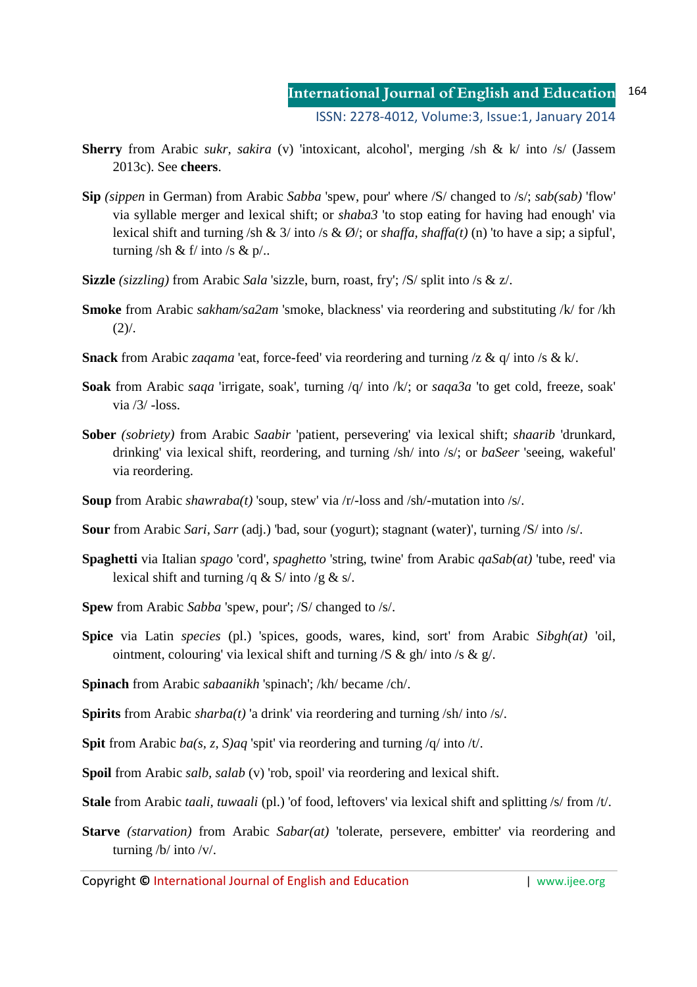- **Sherry** from Arabic *sukr, sakira* (v) 'intoxicant, alcohol', merging /sh & k/ into /s/ (Jassem 2013c). See **cheers**.
- **Sip** *(sippen* in German) from Arabic *Sabba* 'spew, pour' where /S/ changed to /s/; *sab(sab)* 'flow' via syllable merger and lexical shift; or *shaba3* 'to stop eating for having had enough' via lexical shift and turning /sh & 3/ into /s & Ø/; or *shaffa, shaffa(t)* (n) 'to have a sip; a sipful', turning /sh & f/ into /s &  $p'$ .
- **Sizzle** *(sizzling)* from Arabic *Sala* 'sizzle, burn, roast, fry'; /S/ split into /s & z/.
- **Smoke** from Arabic *sakham/sa2am* 'smoke, blackness' via reordering and substituting /k/ for /kh  $(2)$ .
- **Snack** from Arabic *zaqama* 'eat, force-feed' via reordering and turning /z & q/ into /s & k/.
- **Soak** from Arabic *saqa* 'irrigate, soak', turning /q/ into /k/; or *saqa3a* 'to get cold, freeze, soak' via  $/3/$  -loss.
- **Sober** *(sobriety)* from Arabic *Saabir* 'patient, persevering' via lexical shift; *shaarib* 'drunkard, drinking' via lexical shift, reordering, and turning /sh/ into /s/; or *baSeer* 'seeing, wakeful' via reordering.
- **Soup** from Arabic *shawraba(t)* 'soup, stew' via /r/-loss and /sh/-mutation into /s/.
- **Sour** from Arabic *Sari, Sarr* (adj.) 'bad, sour (yogurt); stagnant (water)', turning /S/ into /s/.
- **Spaghetti** via Italian *spago* 'cord', *spaghetto* 'string, twine' from Arabic *qaSab(at)* 'tube, reed' via lexical shift and turning /q & S/ into /g & s/.
- **Spew** from Arabic *Sabba* 'spew, pour'; /S/ changed to /s/.
- **Spice** via Latin *species* (pl.) 'spices, goods, wares, kind, sort' from Arabic *Sibgh(at)* 'oil, ointment, colouring' via lexical shift and turning  $/S & gh/$  into  $/s & g/$ .
- **Spinach** from Arabic *sabaanikh* 'spinach'; /kh/ became /ch/.
- **Spirits** from Arabic *sharba(t)* 'a drink' via reordering and turning /sh/ into /s/.
- **Spit** from Arabic *ba(s, z, S)aq* 'spit' via reordering and turning /q/ into /t/.
- **Spoil** from Arabic *salb, salab* (v) 'rob, spoil' via reordering and lexical shift.
- **Stale** from Arabic *taali, tuwaali* (pl.) 'of food, leftovers' via lexical shift and splitting /s/ from /t/.
- **Starve** *(starvation)* from Arabic *Sabar(at)* 'tolerate, persevere, embitter' via reordering and turning /b/ into /v/.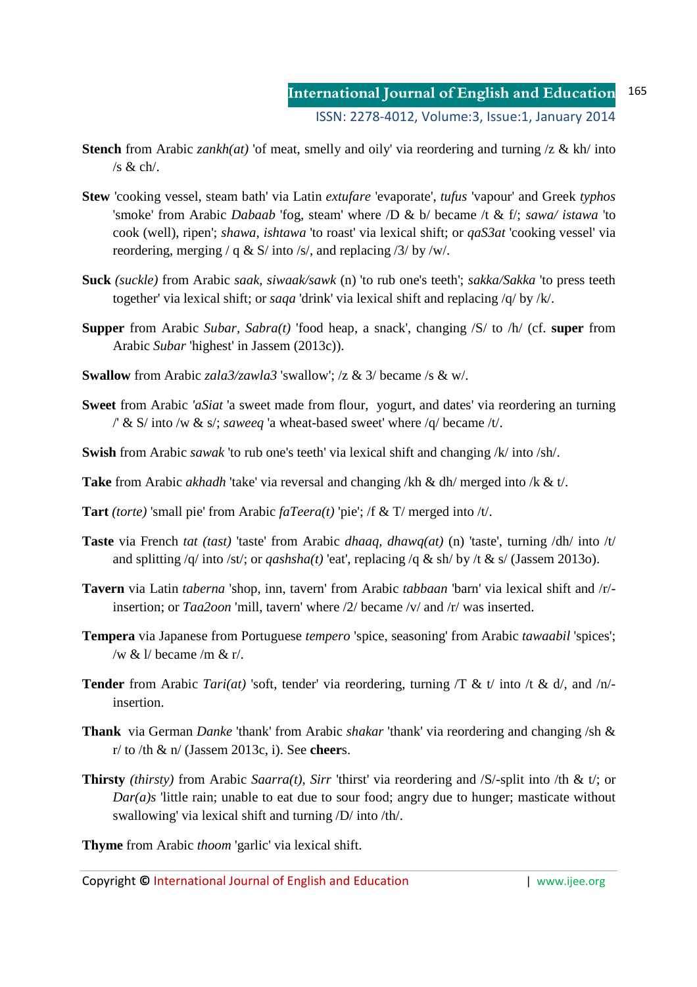- **Stench** from Arabic *zankh(at)* 'of meat, smelly and oily' via reordering and turning /z & kh/ into /s & ch/.
- **Stew** 'cooking vessel, steam bath' via Latin *extufare* 'evaporate', *tufus* 'vapour' and Greek *typhos* 'smoke' from Arabic *Dabaab* 'fog, steam' where /D & b/ became /t & f/; *sawa/ istawa* 'to cook (well), ripen'; *shawa, ishtawa* 'to roast' via lexical shift; or *qaS3at* 'cooking vessel' via reordering, merging / q & S/ into /s/, and replacing /3/ by /w/.
- **Suck** *(suckle)* from Arabic *saak, siwaak/sawk* (n) 'to rub one's teeth'; *sakka/Sakka* 'to press teeth together' via lexical shift; or *saqa* 'drink' via lexical shift and replacing /q/ by /k/.
- **Supper** from Arabic *Subar, Sabra(t)* 'food heap, a snack', changing /S/ to /h/ (cf. **super** from Arabic *Subar* 'highest' in Jassem (2013c)).
- **Swallow** from Arabic *zala3/zawla3* 'swallow'; /z & 3/ became /s & w/.
- **Sweet** from Arabic *'aSiat* 'a sweet made from flour, yogurt, and dates' via reordering an turning /' & S/ into /w & s/; *saweeq* 'a wheat-based sweet' where /q/ became /t/.
- **Swish** from Arabic *sawak* 'to rub one's teeth' via lexical shift and changing /k/ into /sh/.
- **Take** from Arabic *akhadh* 'take' via reversal and changing /kh & dh/ merged into /k & t/.
- **Tart** *(torte)* 'small pie' from Arabic *faTeera(t)* 'pie'; /f & T/ merged into /t/.
- **Taste** via French *tat (tast)* 'taste' from Arabic *dhaaq, dhawq(at)* (n) 'taste', turning /dh/ into /t/ and splitting /q/ into /st/; or *qashsha(t)* 'eat', replacing /q & sh/ by /t & s/ (Jassem 2013o).
- **Tavern** via Latin *taberna* 'shop, inn, tavern' from Arabic *tabbaan* 'barn' via lexical shift and /r/ insertion; or *Taa2oon* 'mill, tavern' where /2/ became /v/ and /r/ was inserted.
- **Tempera** via Japanese from Portuguese *tempero* 'spice, seasoning' from Arabic *tawaabil* 'spices'; /w &  $\frac{1}{\sqrt{2}}$  became /m & r/.
- **Tender** from Arabic *Tari(at)* 'soft, tender' via reordering, turning /T & t/ into /t & d/, and /n/ insertion.
- **Thank** via German *Danke* 'thank' from Arabic *shakar* 'thank' via reordering and changing /sh & r/ to /th & n/ (Jassem 2013c, i). See **cheer**s.
- **Thirsty** *(thirsty)* from Arabic *Saarra(t), Sirr* 'thirst' via reordering and /S/-split into /th & t/; or *Dar(a)s* 'little rain; unable to eat due to sour food; angry due to hunger; masticate without swallowing' via lexical shift and turning /D/ into /th/.

**Thyme** from Arabic *thoom* 'garlic' via lexical shift.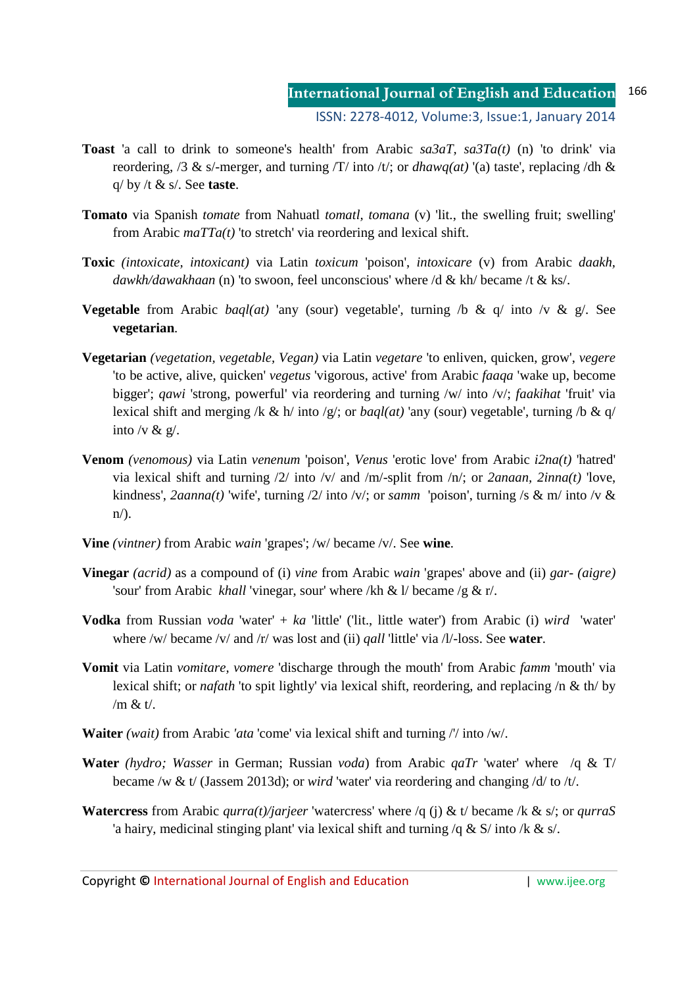- **International Journal of English and Education** ISSN: 2278-4012, Volume:3, Issue:1, January 2014 166
- **Toast** 'a call to drink to someone's health' from Arabic *sa3aT, sa3Ta(t)* (n) 'to drink' via reordering, /3 & s/-merger, and turning /T/ into /t/; or *dhawq(at)* '(a) taste', replacing /dh & q/ by /t & s/. See **taste**.
- **Tomato** via Spanish *tomate* from Nahuatl *tomatl, tomana* (v) 'lit., the swelling fruit; swelling' from Arabic *maTTa(t)* 'to stretch' via reordering and lexical shift.
- **Toxic** *(intoxicate, intoxicant)* via Latin *toxicum* 'poison', *intoxicare* (v) from Arabic *daakh, dawkh/dawakhaan* (n) 'to swoon, feel unconscious' where /d & kh/ became /t & ks/.
- **Vegetable** from Arabic *baql(at)* 'any (sour) vegetable', turning /b & q/ into /v & g/. See **vegetarian**.
- **Vegetarian** *(vegetation, vegetable, Vegan)* via Latin *vegetare* 'to enliven, quicken, grow', *vegere*  'to be active, alive, quicken' *vegetus* 'vigorous, active' from Arabic *faaqa* 'wake up, become bigger'; *qawi* 'strong, powerful' via reordering and turning /w/ into /v/; *faakihat* 'fruit' via lexical shift and merging /k & h/ into /g/; or *baql(at)* 'any (sour) vegetable', turning /b & q/ into /v &  $g/$ .
- **Venom** *(venomous)* via Latin *venenum* 'poison', *Venus* 'erotic love' from Arabic *i2na(t)* 'hatred' via lexical shift and turning /2/ into /v/ and /m/-split from /n/; or *2anaan, 2inna(t)* 'love, kindness', *2aanna(t)* 'wife', turning /2/ into /v/; or *samm* 'poison', turning /s & m/ into /v &  $n$ .
- **Vine** *(vintner)* from Arabic *wain* 'grapes'; /w/ became /v/. See **wine**.
- **Vinegar** *(acrid)* as a compound of (i) *vine* from Arabic *wain* 'grapes' above and (ii) *gar- (aigre)* 'sour' from Arabic *khall* 'vinegar, sour' where /kh & l/ became /g & r/.
- **Vodka** from Russian *voda* 'water' + *ka* 'little' ('lit., little water') from Arabic (i) *wird* 'water' where /w/ became /v/ and /r/ was lost and (ii) *qall* 'little' via /l/-loss. See **water**.
- **Vomit** via Latin *vomitare, vomere* 'discharge through the mouth' from Arabic *famm* 'mouth' via lexical shift; or *nafath* 'to spit lightly' via lexical shift, reordering, and replacing /n & th/ by /m & t/.
- **Waiter** *(wait)* from Arabic *'ata* 'come' via lexical shift and turning /'/ into /w/.
- **Water** *(hydro; Wasser* in German; Russian *voda*) from Arabic *qaTr* 'water' where /q & T/ became /w & t/ (Jassem 2013d); or *wird* 'water' via reordering and changing /d/ to /t/.
- **Watercress** from Arabic *qurra(t)/jarjeer* 'watercress' where /q (j) & t/ became /k & s/; or *qurraS*  'a hairy, medicinal stinging plant' via lexical shift and turning /q & S/ into /k & s/.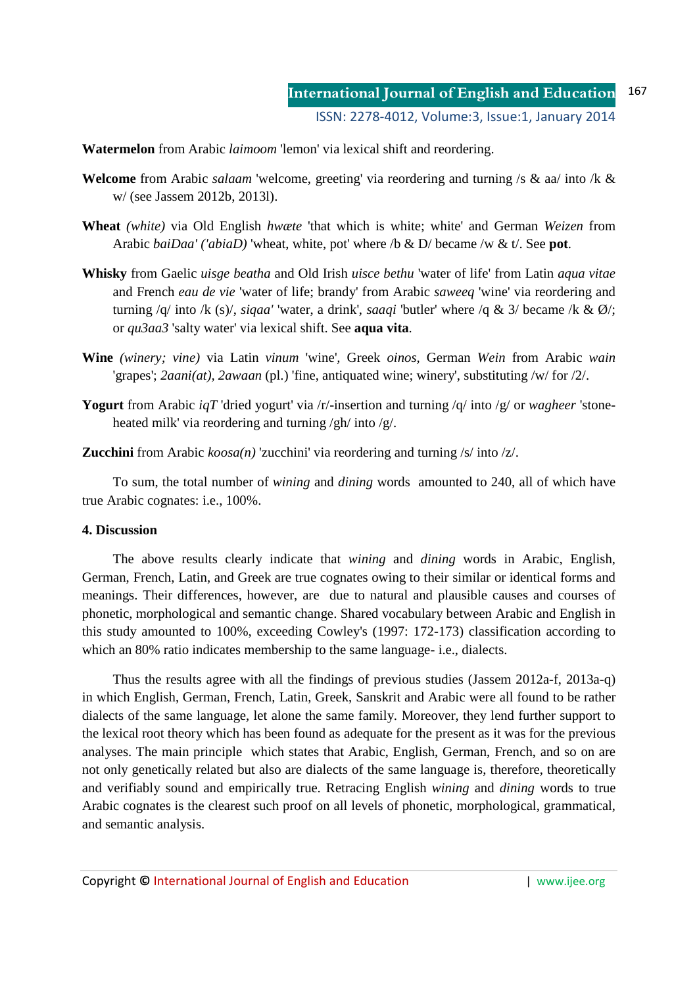**Watermelon** from Arabic *laimoom* 'lemon' via lexical shift and reordering.

- **Welcome** from Arabic *salaam* 'welcome, greeting' via reordering and turning /s & aa/ into /k & w/ (see Jassem 2012b, 2013l).
- **Wheat** *(white)* via Old English *hwæte* 'that which is white; white' and German *Weizen* from Arabic *baiDaa' ('abiaD)* 'wheat, white, pot' where /b & D/ became /w & t/. See **pot**.
- **Whisky** from Gaelic *uisge beatha* and Old Irish *uisce bethu* 'water of life' from Latin *aqua vitae* and French *eau de vie* 'water of life; brandy' from Arabic *saweeq* 'wine' via reordering and turning /q/ into /k (s)/, *siqaa'* 'water, a drink', *saaqi* 'butler' where /q & 3/ became /k & Ø/; or *qu3aa3* 'salty water' via lexical shift. See **aqua vita**.
- **Wine** *(winery; vine)* via Latin *vinum* 'wine'*,* Greek *oinos,* German *Wein* from Arabic *wain*  'grapes'; *2aani(at), 2awaan* (pl.) 'fine, antiquated wine; winery', substituting /w/ for /2/.
- **Yogurt** from Arabic *iqT* 'dried yogurt' via /r/-insertion and turning /q/ into /g/ or *wagheer* 'stoneheated milk' via reordering and turning /gh/ into /g/.

**Zucchini** from Arabic *koosa(n)* 'zucchini' via reordering and turning /s/ into /z/.

To sum, the total number of *wining* and *dining* words amounted to 240, all of which have true Arabic cognates: i.e., 100%.

## **4. Discussion**

The above results clearly indicate that *wining* and *dining* words in Arabic, English, German, French, Latin, and Greek are true cognates owing to their similar or identical forms and meanings. Their differences, however, are due to natural and plausible causes and courses of phonetic, morphological and semantic change. Shared vocabulary between Arabic and English in this study amounted to 100%, exceeding Cowley's (1997: 172-173) classification according to which an 80% ratio indicates membership to the same language- i.e., dialects.

Thus the results agree with all the findings of previous studies (Jassem 2012a-f, 2013a-q) in which English, German, French, Latin, Greek, Sanskrit and Arabic were all found to be rather dialects of the same language, let alone the same family. Moreover, they lend further support to the lexical root theory which has been found as adequate for the present as it was for the previous analyses. The main principle which states that Arabic, English, German, French, and so on are not only genetically related but also are dialects of the same language is, therefore, theoretically and verifiably sound and empirically true. Retracing English *wining* and *dining* words to true Arabic cognates is the clearest such proof on all levels of phonetic, morphological, grammatical, and semantic analysis.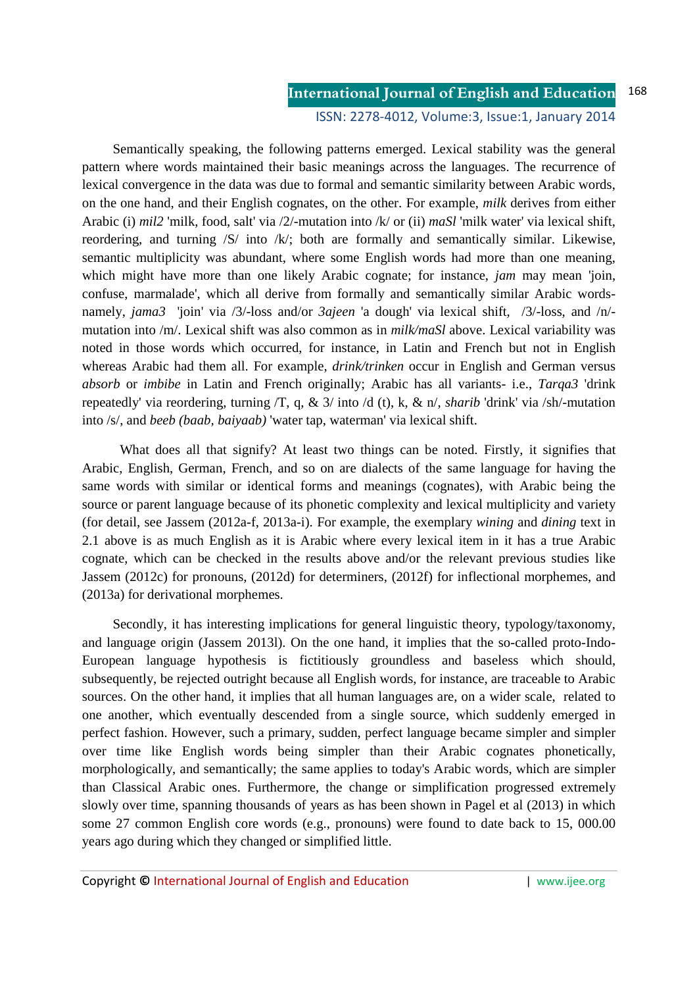#### **International Journal of English and Education** 168

### ISSN: 2278-4012, Volume:3, Issue:1, January 2014

Semantically speaking, the following patterns emerged. Lexical stability was the general pattern where words maintained their basic meanings across the languages. The recurrence of lexical convergence in the data was due to formal and semantic similarity between Arabic words, on the one hand, and their English cognates, on the other. For example, *milk* derives from either Arabic (i) *mil2* 'milk, food, salt' via /2/-mutation into /k/ or (ii) *maSl* 'milk water' via lexical shift, reordering, and turning /S/ into /k/; both are formally and semantically similar. Likewise, semantic multiplicity was abundant, where some English words had more than one meaning, which might have more than one likely Arabic cognate; for instance, *jam* may mean 'join, confuse, marmalade', which all derive from formally and semantically similar Arabic wordsnamely, *jama3* 'join' via /3/-loss and/or *3ajeen* 'a dough' via lexical shift, /3/-loss, and /n/ mutation into /m/. Lexical shift was also common as in *milk/maSl* above. Lexical variability was noted in those words which occurred, for instance, in Latin and French but not in English whereas Arabic had them all. For example, *drink/trinken* occur in English and German versus *absorb* or *imbibe* in Latin and French originally; Arabic has all variants- i.e., *Tarqa3* 'drink repeatedly' via reordering, turning /T, q, & 3/ into /d (t), k, & n/, *sharib* 'drink' via /sh/-mutation into /s/, and *beeb (baab, baiyaab)* 'water tap, waterman' via lexical shift.

 What does all that signify? At least two things can be noted. Firstly, it signifies that Arabic, English, German, French, and so on are dialects of the same language for having the same words with similar or identical forms and meanings (cognates), with Arabic being the source or parent language because of its phonetic complexity and lexical multiplicity and variety (for detail, see Jassem (2012a-f, 2013a-i). For example, the exemplary *wining* and *dining* text in 2.1 above is as much English as it is Arabic where every lexical item in it has a true Arabic cognate, which can be checked in the results above and/or the relevant previous studies like Jassem (2012c) for pronouns, (2012d) for determiners, (2012f) for inflectional morphemes, and (2013a) for derivational morphemes.

Secondly, it has interesting implications for general linguistic theory, typology/taxonomy, and language origin (Jassem 2013l). On the one hand, it implies that the so-called proto-Indo-European language hypothesis is fictitiously groundless and baseless which should, subsequently, be rejected outright because all English words, for instance, are traceable to Arabic sources. On the other hand, it implies that all human languages are, on a wider scale, related to one another, which eventually descended from a single source, which suddenly emerged in perfect fashion. However, such a primary, sudden, perfect language became simpler and simpler over time like English words being simpler than their Arabic cognates phonetically, morphologically, and semantically; the same applies to today's Arabic words, which are simpler than Classical Arabic ones. Furthermore, the change or simplification progressed extremely slowly over time, spanning thousands of years as has been shown in Pagel et al (2013) in which some 27 common English core words (e.g., pronouns) were found to date back to 15, 000.00 years ago during which they changed or simplified little.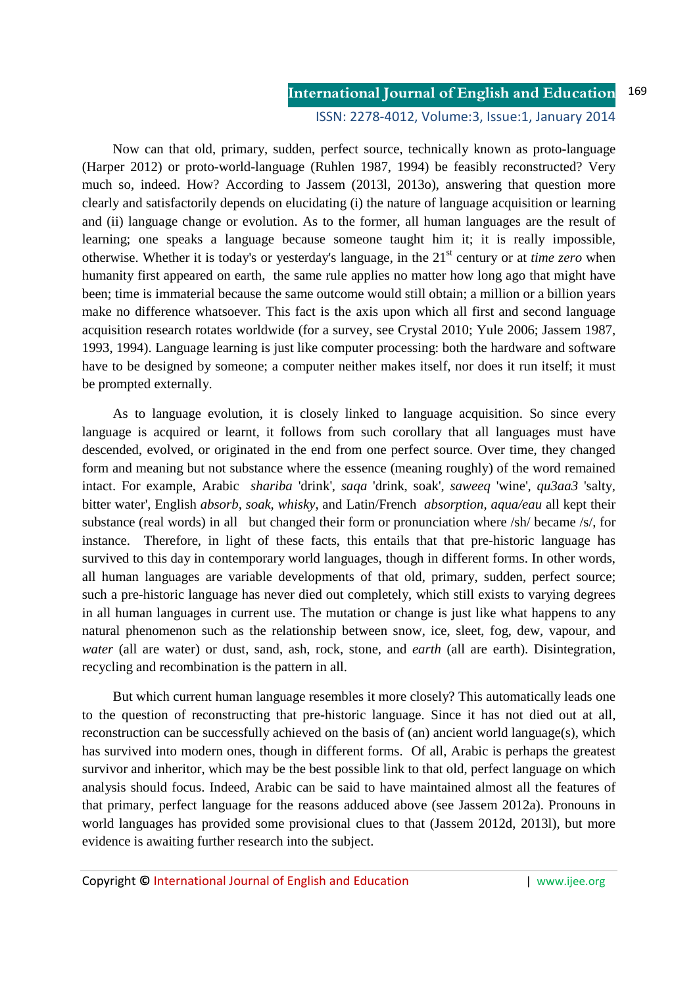#### **International Journal of English and Education** 169

## ISSN: 2278-4012, Volume:3, Issue:1, January 2014

Now can that old, primary, sudden, perfect source, technically known as proto-language (Harper 2012) or proto-world-language (Ruhlen 1987, 1994) be feasibly reconstructed? Very much so, indeed. How? According to Jassem (2013l, 2013o), answering that question more clearly and satisfactorily depends on elucidating (i) the nature of language acquisition or learning and (ii) language change or evolution. As to the former, all human languages are the result of learning; one speaks a language because someone taught him it; it is really impossible, otherwise. Whether it is today's or yesterday's language, in the 21<sup>st</sup> century or at *time zero* when humanity first appeared on earth, the same rule applies no matter how long ago that might have been; time is immaterial because the same outcome would still obtain; a million or a billion years make no difference whatsoever. This fact is the axis upon which all first and second language acquisition research rotates worldwide (for a survey, see Crystal 2010; Yule 2006; Jassem 1987, 1993, 1994). Language learning is just like computer processing: both the hardware and software have to be designed by someone; a computer neither makes itself, nor does it run itself; it must be prompted externally.

As to language evolution, it is closely linked to language acquisition. So since every language is acquired or learnt, it follows from such corollary that all languages must have descended, evolved, or originated in the end from one perfect source. Over time, they changed form and meaning but not substance where the essence (meaning roughly) of the word remained intact. For example, Arabic *shariba* 'drink', *saqa* 'drink, soak'*, saweeq* 'wine'*, qu3aa3* 'salty, bitter water', English *absorb, soak, whisky*, and Latin/French *absorption, aqua/eau* all kept their substance (real words) in all but changed their form or pronunciation where /sh/ became /s/, for instance. Therefore, in light of these facts, this entails that that pre-historic language has survived to this day in contemporary world languages, though in different forms. In other words, all human languages are variable developments of that old, primary, sudden, perfect source; such a pre-historic language has never died out completely, which still exists to varying degrees in all human languages in current use. The mutation or change is just like what happens to any natural phenomenon such as the relationship between snow, ice, sleet, fog, dew, vapour, and *water* (all are water) or dust, sand, ash, rock, stone, and *earth* (all are earth). Disintegration, recycling and recombination is the pattern in all.

But which current human language resembles it more closely? This automatically leads one to the question of reconstructing that pre-historic language. Since it has not died out at all, reconstruction can be successfully achieved on the basis of (an) ancient world language(s), which has survived into modern ones, though in different forms. Of all, Arabic is perhaps the greatest survivor and inheritor, which may be the best possible link to that old, perfect language on which analysis should focus. Indeed, Arabic can be said to have maintained almost all the features of that primary, perfect language for the reasons adduced above (see Jassem 2012a). Pronouns in world languages has provided some provisional clues to that (Jassem 2012d, 2013l), but more evidence is awaiting further research into the subject.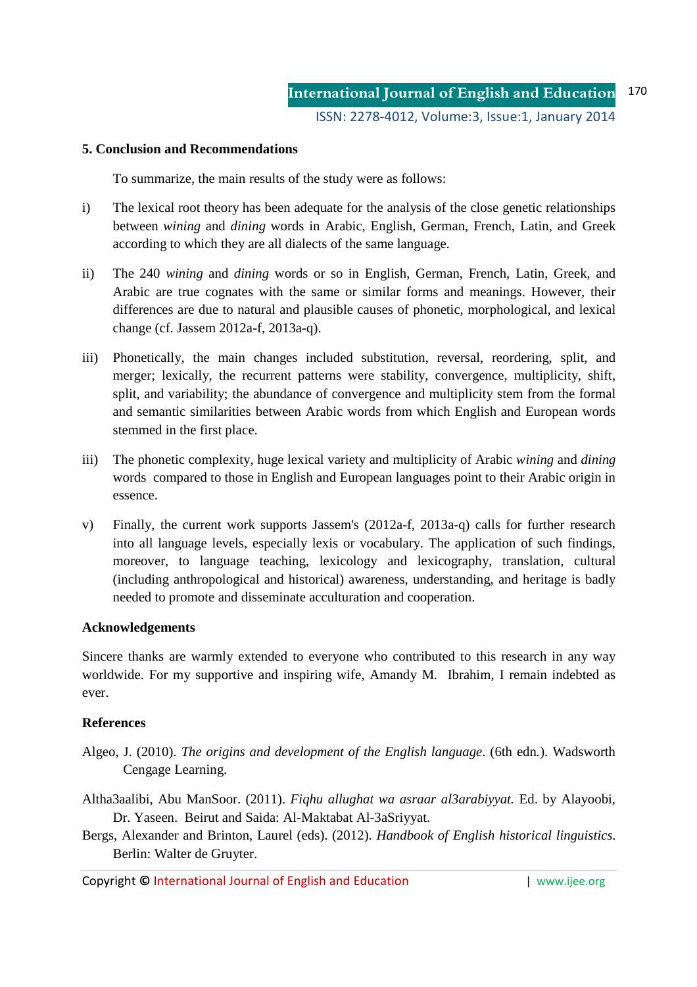## **5. Conclusion and Recommendations**

To summarize, the main results of the study were as follows:

- i) The lexical root theory has been adequate for the analysis of the close genetic relationships between *wining* and *dining* words in Arabic, English, German, French, Latin, and Greek according to which they are all dialects of the same language.
- ii) The 240 *wining* and *dining* words or so in English, German, French, Latin, Greek, and Arabic are true cognates with the same or similar forms and meanings. However, their differences are due to natural and plausible causes of phonetic, morphological, and lexical change (cf. Jassem 2012a-f, 2013a-q).
- iii) Phonetically, the main changes included substitution, reversal, reordering, split, and merger; lexically, the recurrent patterns were stability, convergence, multiplicity, shift, split, and variability; the abundance of convergence and multiplicity stem from the formal and semantic similarities between Arabic words from which English and European words stemmed in the first place.
- iii) The phonetic complexity, huge lexical variety and multiplicity of Arabic *wining* and *dining*  words compared to those in English and European languages point to their Arabic origin in essence.
- v) Finally, the current work supports Jassem's (2012a-f, 2013a-q) calls for further research into all language levels, especially lexis or vocabulary. The application of such findings, moreover, to language teaching, lexicology and lexicography, translation, cultural (including anthropological and historical) awareness, understanding, and heritage is badly needed to promote and disseminate acculturation and cooperation.

## **Acknowledgements**

Sincere thanks are warmly extended to everyone who contributed to this research in any way worldwide. For my supportive and inspiring wife, Amandy M. Ibrahim, I remain indebted as ever.

## **References**

- Algeo, J. (2010). *The origins and development of the English language*. (6th edn*.*). Wadsworth Cengage Learning.
- Altha3aalibi, Abu ManSoor. (2011). *Fiqhu allughat wa asraar al3arabiyyat.* Ed. by Alayoobi, Dr. Yaseen. Beirut and Saida: Al-Maktabat Al-3aSriyyat.
- Bergs, Alexander and Brinton, Laurel (eds). (2012). *Handbook of English historical linguistics*. Berlin: Walter de Gruyter.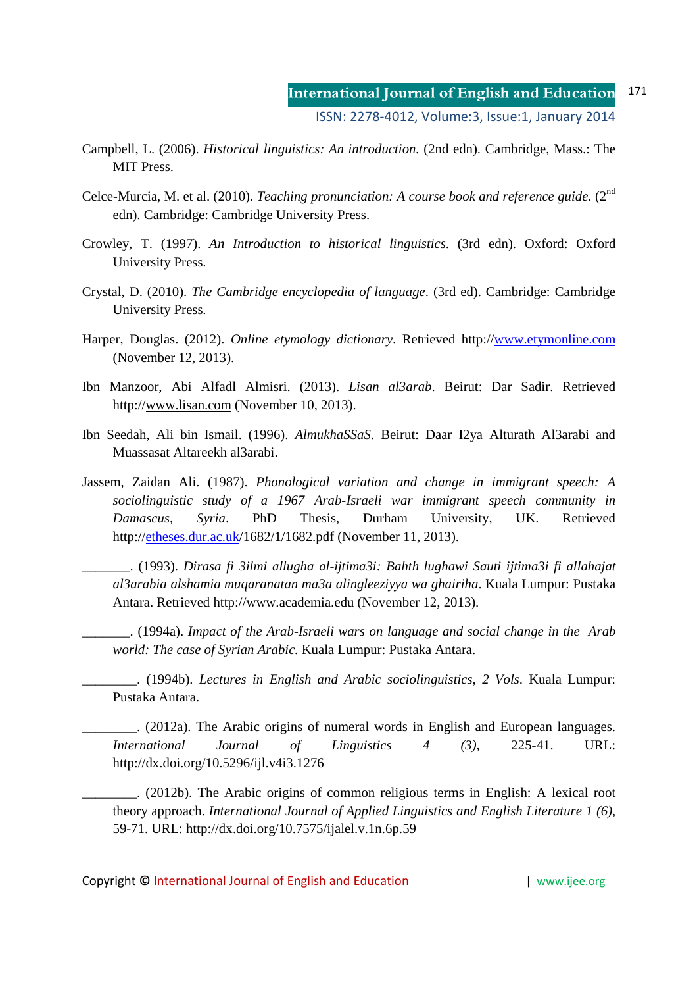- Campbell, L. (2006). *Historical linguistics: An introduction.* (2nd edn). Cambridge, Mass.: The MIT Press.
- Celce-Murcia, M. et al. (2010). *Teaching pronunciation: A course book and reference guide*. (2<sup>nd</sup> edn). Cambridge: Cambridge University Press.
- Crowley, T. (1997). *An Introduction to historical linguistics*. (3rd edn). Oxford: Oxford University Press.
- Crystal, D. (2010). *The Cambridge encyclopedia of language*. (3rd ed). Cambridge: Cambridge University Press.
- Harper, Douglas. (2012). *Online etymology dictionary*. Retrieved http://www.etymonline.com (November 12, 2013).
- Ibn Manzoor, Abi Alfadl Almisri. (2013). *Lisan al3arab*. Beirut: Dar Sadir. Retrieved http://www.lisan.com (November 10, 2013).
- Ibn Seedah, Ali bin Ismail. (1996). *AlmukhaSSaS*. Beirut: Daar I2ya Alturath Al3arabi and Muassasat Altareekh al3arabi.
- Jassem, Zaidan Ali. (1987). *Phonological variation and change in immigrant speech: A sociolinguistic study of a 1967 Arab-Israeli war immigrant speech community in Damascus, Syria*. PhD Thesis, Durham University, UK. Retrieved http://etheses.dur.ac.uk/1682/1/1682.pdf (November 11, 2013).

\_\_\_\_\_\_\_. (1993). *Dirasa fi 3ilmi allugha al-ijtima3i: Bahth lughawi Sauti ijtima3i fi allahajat al3arabia alshamia muqaranatan ma3a alingleeziyya wa ghairiha*. Kuala Lumpur: Pustaka Antara. Retrieved http://www.academia.edu (November 12, 2013).

\_\_\_\_\_\_\_. (1994a). *Impact of the Arab-Israeli wars on language and social change in the Arab world: The case of Syrian Arabic.* Kuala Lumpur: Pustaka Antara.

\_\_\_\_\_\_\_\_. (1994b). *Lectures in English and Arabic sociolinguistics, 2 Vols*. Kuala Lumpur: Pustaka Antara.

\_\_\_\_\_\_\_\_. (2012a). The Arabic origins of numeral words in English and European languages. *International Journal of Linguistics 4 (3)*, 225-41. URL: http://dx.doi.org/10.5296/ijl.v4i3.1276

\_\_\_\_\_\_\_\_. (2012b). The Arabic origins of common religious terms in English: A lexical root theory approach. *International Journal of Applied Linguistics and English Literature 1 (6)*, 59-71. URL: http://dx.doi.org/10.7575/ijalel.v.1n.6p.59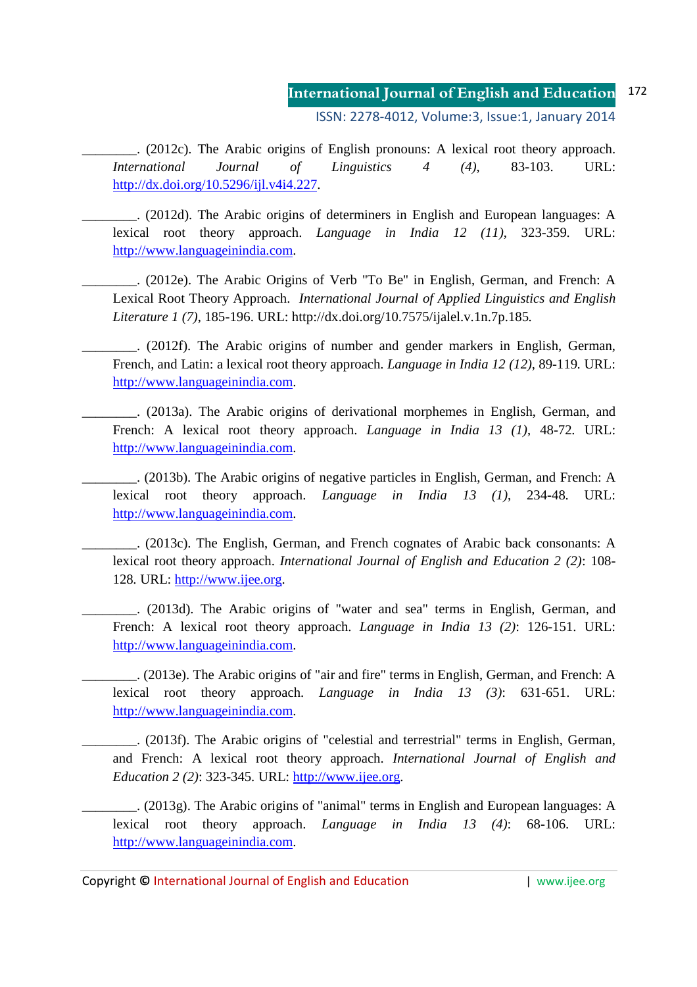# **International Journal of English and Education** 172

ISSN: 2278-4012, Volume:3, Issue:1, January 2014

\_\_\_\_\_\_\_\_. (2012c). The Arabic origins of English pronouns: A lexical root theory approach. *International Journal of Linguistics 4 (4)*, 83-103. URL: http://dx.doi.org/10.5296/ijl.v4i4.227.

\_\_\_\_\_\_\_\_. (2012d). The Arabic origins of determiners in English and European languages: A lexical root theory approach. *Language in India 12 (11)*, 323-359*.* URL: http://www.languageinindia.com.

\_\_\_\_\_\_\_\_. (2012e). The Arabic Origins of Verb ''To Be'' in English, German, and French: A Lexical Root Theory Approach. *International Journal of Applied Linguistics and English Literature 1 (7)*, 185-196. URL: http://dx.doi.org/10.7575/ijalel.v.1n.7p.185*.* 

\_\_\_\_\_\_\_\_. (2012f). The Arabic origins of number and gender markers in English, German, French, and Latin: a lexical root theory approach. *Language in India 12 (12)*, 89-119*.* URL: http://www.languageinindia.com.

\_\_\_\_\_\_\_\_. (2013a). The Arabic origins of derivational morphemes in English, German, and French: A lexical root theory approach. *Language in India 13 (1)*, 48-72*.* URL: http://www.languageinindia.com.

\_\_\_\_\_\_\_\_. (2013b). The Arabic origins of negative particles in English, German, and French: A lexical root theory approach. *Language in India 13 (1)*, 234-48*.* URL: http://www.languageinindia.com.

\_\_\_\_\_\_\_\_. (2013c). The English, German, and French cognates of Arabic back consonants: A lexical root theory approach. *International Journal of English and Education 2 (2)*: 108- 128*.* URL: http://www.ijee.org.

\_\_\_\_\_\_\_\_. (2013d). The Arabic origins of "water and sea" terms in English, German, and French: A lexical root theory approach. *Language in India 13 (2)*: 126-151. URL: http://www.languageinindia.com.

\_\_\_\_\_\_\_\_. (2013e). The Arabic origins of "air and fire" terms in English, German, and French: A lexical root theory approach. *Language in India 13 (3)*: 631-651. URL: http://www.languageinindia.com.

\_\_\_\_\_\_\_\_. (2013f). The Arabic origins of "celestial and terrestrial" terms in English, German, and French: A lexical root theory approach. *International Journal of English and Education 2 (2)*: 323-345*.* URL: http://www.ijee.org.

\_\_\_\_\_\_\_\_. (2013g). The Arabic origins of "animal" terms in English and European languages: A lexical root theory approach. *Language in India 13 (4)*: 68-106. URL: http://www.languageinindia.com.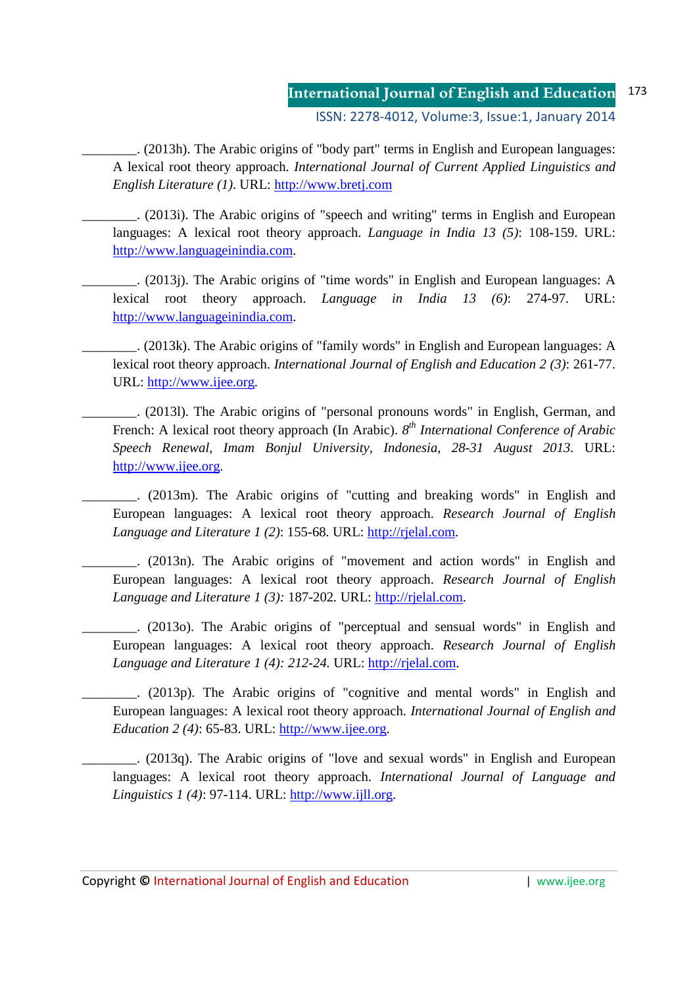#### **International Journal of English and Education** ISSN: 2278-4012, Volume:3, Issue:1, January 2014 173

\_\_\_\_\_\_\_\_. (2013h). The Arabic origins of "body part" terms in English and European languages: A lexical root theory approach. *International Journal of Current Applied Linguistics and English Literature (1)*. URL: http://www.bretj.com

\_\_\_\_\_\_\_\_. (2013i). The Arabic origins of "speech and writing" terms in English and European languages: A lexical root theory approach. *Language in India 13 (5)*: 108-159. URL: http://www.languageinindia.com.

\_\_\_\_\_\_\_\_. (2013j). The Arabic origins of "time words" in English and European languages: A lexical root theory approach. *Language in India 13 (6)*: 274-97. URL: http://www.languageinindia.com.

\_\_\_\_\_\_\_\_. (2013k). The Arabic origins of "family words" in English and European languages: A lexical root theory approach. *International Journal of English and Education 2 (3)*: 261-77. URL: http://www.ijee.org.

\_\_\_\_\_\_\_\_. (2013l). The Arabic origins of "personal pronouns words" in English, German, and French: A lexical root theory approach (In Arabic).  $8^{th}$  *International Conference of Arabic Speech Renewal, Imam Bonjul University, Indonesia, 28-31 August 2013.* URL: http://www.ijee.org.

\_\_\_\_\_\_\_\_. (2013m). The Arabic origins of "cutting and breaking words" in English and European languages: A lexical root theory approach. *Research Journal of English Language and Literature 1 (2)*: 155-68*.* URL: http://rjelal.com.

\_\_\_\_\_\_\_\_. (2013n). The Arabic origins of "movement and action words" in English and European languages: A lexical root theory approach. *Research Journal of English Language and Literature 1 (3):* 187-202*.* URL: http://rjelal.com.

\_\_\_\_\_\_\_\_. (2013o). The Arabic origins of "perceptual and sensual words" in English and European languages: A lexical root theory approach. *Research Journal of English Language and Literature 1 (4): 212-24.* URL: http://rjelal.com.

\_\_\_\_\_\_\_\_. (2013p). The Arabic origins of "cognitive and mental words" in English and European languages: A lexical root theory approach. *International Journal of English and Education 2 (4)*: 65-83. URL: http://www.ijee.org.

\_\_\_\_\_\_\_\_. (2013q). The Arabic origins of "love and sexual words" in English and European languages: A lexical root theory approach. *International Journal of Language and Linguistics 1 (4)*: 97-114. URL: http://www.ijll.org.